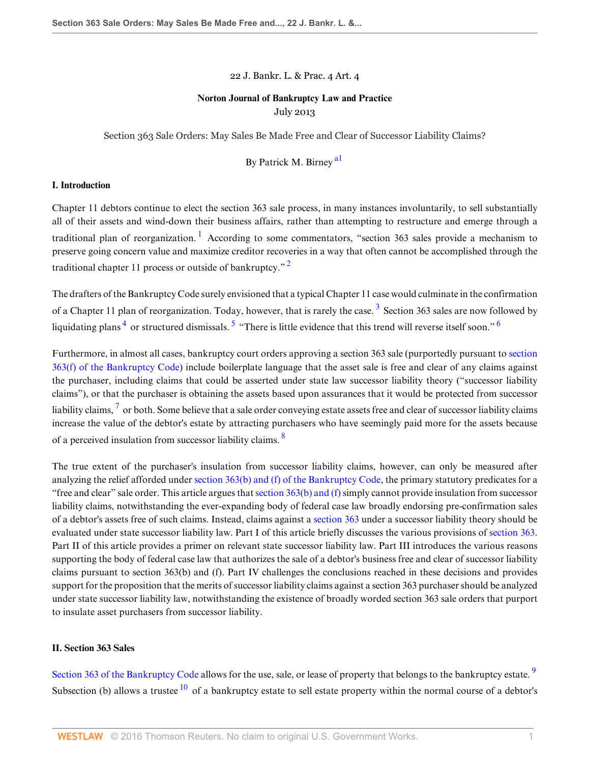22 J. Bankr. L. & Prac. 4 Art. 4

## **Norton Journal of Bankruptcy Law and Practice** July 2013

Section 363 Sale Orders: May Sales Be Made Free and Clear of Successor Liability Claims?

<span id="page-0-10"></span><span id="page-0-5"></span><span id="page-0-4"></span><span id="page-0-2"></span><span id="page-0-1"></span><span id="page-0-0"></span>By Patrick M. Birney [a1](#page-13-0)

#### **I. Introduction**

Chapter 11 debtors continue to elect the section 363 sale process, in many instances involuntarily, to sell substantially all of their assets and wind-down their business affairs, rather than attempting to restructure and emerge through a traditional plan of reorganization.<sup>[1](#page-8-0)</sup> According to some commentators, "section 363 sales provide a mechanism to preserve going concern value and maximize creditor recoveries in a way that often cannot be accomplished through the traditional chapter 11 process or outside of bankruptcy."<sup>[2](#page-8-1)</sup>

<span id="page-0-3"></span>The drafters of the Bankruptcy Code surely envisioned that a typical Chapter 11 case would culminate in the confirmation of a Chapter 11 plan of reorganization. Today, however, that is rarely the case.<sup>[3](#page-8-2)</sup> Section 363 sales are now followed by liquidating plans<sup>[4](#page-8-3)</sup> or structured dismissals.<sup>[5](#page-8-4)</sup> "There is little evidence that this trend will reverse itself soon."<sup>[6](#page-8-5)</sup>

<span id="page-0-6"></span>Furthermore, in almost all cases, bankruptcy court orders approving a section 363 sale (purportedly pursuant to [section](http://www.westlaw.com/Link/Document/FullText?findType=L&pubNum=1000546&cite=11USCAS363&originatingDoc=Id995dd93f9da11e28578f7ccc38dcbee&refType=LQ&originationContext=document&vr=3.0&rs=cblt1.0&transitionType=DocumentItem&contextData=(sc.Search)) [363\(f\) of the Bankruptcy Code](http://www.westlaw.com/Link/Document/FullText?findType=L&pubNum=1000546&cite=11USCAS363&originatingDoc=Id995dd93f9da11e28578f7ccc38dcbee&refType=LQ&originationContext=document&vr=3.0&rs=cblt1.0&transitionType=DocumentItem&contextData=(sc.Search))) include boilerplate language that the asset sale is free and clear of any claims against the purchaser, including claims that could be asserted under state law successor liability theory ("successor liability claims"), or that the purchaser is obtaining the assets based upon assurances that it would be protected from successor liability claims,  $^7$  $^7$  or both. Some believe that a sale order conveying estate assets free and clear of successor liability claims increase the value of the debtor's estate by attracting purchasers who have seemingly paid more for the assets because of a perceived insulation from successor liability claims. [8](#page-9-0)

<span id="page-0-7"></span>The true extent of the purchaser's insulation from successor liability claims, however, can only be measured after analyzing the relief afforded under [section 363\(b\) and \(f\) of the Bankruptcy Code](http://www.westlaw.com/Link/Document/FullText?findType=L&pubNum=1000546&cite=11USCAS363&originatingDoc=Id995dd93f9da11e28578f7ccc38dcbee&refType=LQ&originationContext=document&vr=3.0&rs=cblt1.0&transitionType=DocumentItem&contextData=(sc.Search)), the primary statutory predicates for a "free and clear" sale order. This article argues that [section 363\(b\) and \(f\)](http://www.westlaw.com/Link/Document/FullText?findType=L&pubNum=1000546&cite=11USCAS363&originatingDoc=Id995dd93f9da11e28578f7ccc38dcbee&refType=LQ&originationContext=document&vr=3.0&rs=cblt1.0&transitionType=DocumentItem&contextData=(sc.Search)) simply cannot provide insulation from successor liability claims, notwithstanding the ever-expanding body of federal case law broadly endorsing pre-confirmation sales of a debtor's assets free of such claims. Instead, claims against a [section 363](http://www.westlaw.com/Link/Document/FullText?findType=L&pubNum=1000546&cite=11USCAS363&originatingDoc=Id995dd93f9da11e28578f7ccc38dcbee&refType=LQ&originationContext=document&vr=3.0&rs=cblt1.0&transitionType=DocumentItem&contextData=(sc.Search)) under a successor liability theory should be evaluated under state successor liability law. Part I of this article briefly discusses the various provisions of [section 363](http://www.westlaw.com/Link/Document/FullText?findType=L&pubNum=1000546&cite=11USCAS363&originatingDoc=Id995dd93f9da11e28578f7ccc38dcbee&refType=LQ&originationContext=document&vr=3.0&rs=cblt1.0&transitionType=DocumentItem&contextData=(sc.Search)). Part II of this article provides a primer on relevant state successor liability law. Part III introduces the various reasons supporting the body of federal case law that authorizes the sale of a debtor's business free and clear of successor liability claims pursuant to section 363(b) and (f). Part IV challenges the conclusions reached in these decisions and provides support for the proposition that the merits of successor liability claims against a section 363 purchaser should be analyzed under state successor liability law, notwithstanding the existence of broadly worded section 363 sale orders that purport to insulate asset purchasers from successor liability.

#### **II. Section 363 Sales**

<span id="page-0-9"></span><span id="page-0-8"></span>[Section 363 of the Bankruptcy Code](http://www.westlaw.com/Link/Document/FullText?findType=L&pubNum=1000546&cite=11USCAS363&originatingDoc=Id995dd93f9da11e28578f7ccc38dcbee&refType=LQ&originationContext=document&vr=3.0&rs=cblt1.0&transitionType=DocumentItem&contextData=(sc.Search)) allows for the use, sale, or lease of property that belongs to the bankruptcy estate.<sup>[9](#page-9-1)</sup> Subsection (b) allows a trustee  $\frac{10}{10}$  $\frac{10}{10}$  $\frac{10}{10}$  of a bankruptcy estate to sell estate property within the normal course of a debtor's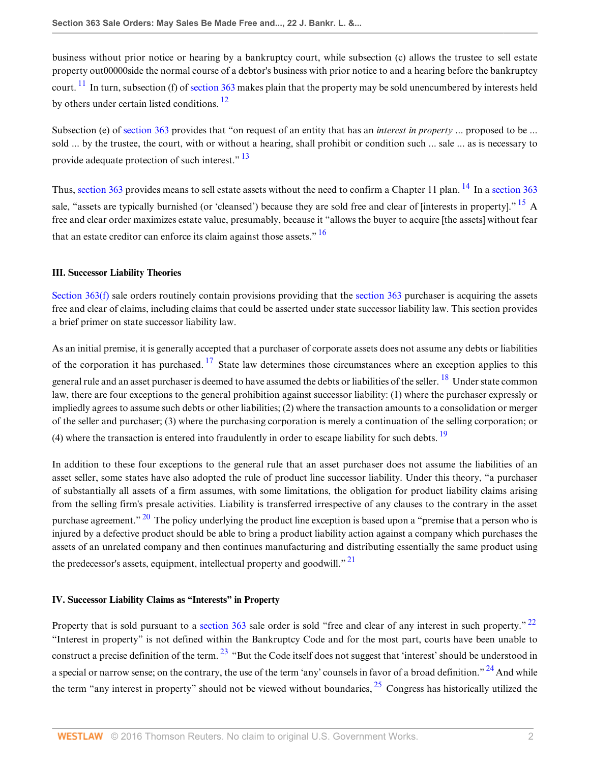<span id="page-1-0"></span>business without prior notice or hearing by a bankruptcy court, while subsection (c) allows the trustee to sell estate property out00000side the normal course of a debtor's business with prior notice to and a hearing before the bankruptcy court.  $\frac{11}{11}$  $\frac{11}{11}$  $\frac{11}{11}$  In turn, subsection (f) of [section 363](http://www.westlaw.com/Link/Document/FullText?findType=L&pubNum=1000546&cite=11USCAS363&originatingDoc=Id995dd93f9da11e28578f7ccc38dcbee&refType=LQ&originationContext=document&vr=3.0&rs=cblt1.0&transitionType=DocumentItem&contextData=(sc.Search)) makes plain that the property may be sold unencumbered by interests held by others under certain listed conditions.<sup>[12](#page-9-4)</sup>

<span id="page-1-2"></span><span id="page-1-1"></span>Subsection (e) of [section 363](http://www.westlaw.com/Link/Document/FullText?findType=L&pubNum=1000546&cite=11USCAS363&originatingDoc=Id995dd93f9da11e28578f7ccc38dcbee&refType=LQ&originationContext=document&vr=3.0&rs=cblt1.0&transitionType=DocumentItem&contextData=(sc.Search)) provides that "on request of an entity that has an *interest in property* ... proposed to be ... sold ... by the trustee, the court, with or without a hearing, shall prohibit or condition such ... sale ... as is necessary to provide adequate protection of such interest."<sup>[13](#page-9-5)</sup>

<span id="page-1-5"></span><span id="page-1-4"></span><span id="page-1-3"></span>Thus, [section 363](http://www.westlaw.com/Link/Document/FullText?findType=L&pubNum=1000546&cite=11USCAS363&originatingDoc=Id995dd93f9da11e28578f7ccc38dcbee&refType=LQ&originationContext=document&vr=3.0&rs=cblt1.0&transitionType=DocumentItem&contextData=(sc.Search)) provides means to sell estate assets without the need to confirm a Chapter 11 plan. <sup>[14](#page-9-6)</sup> In a [section 363](http://www.westlaw.com/Link/Document/FullText?findType=L&pubNum=1000546&cite=11USCAS363&originatingDoc=Id995dd93f9da11e28578f7ccc38dcbee&refType=LQ&originationContext=document&vr=3.0&rs=cblt1.0&transitionType=DocumentItem&contextData=(sc.Search)) sale, "assets are typically burnished (or 'cleansed') because they are sold free and clear of [interests in property]." <sup>[15](#page-9-7)</sup> A free and clear order maximizes estate value, presumably, because it "allows the buyer to acquire [the assets] without fear that an estate creditor can enforce its claim against those assets."  $\frac{16}{16}$  $\frac{16}{16}$  $\frac{16}{16}$ 

## **III. Successor Liability Theories**

Section  $363(f)$  sale orders routinely contain provisions providing that the [section 363](http://www.westlaw.com/Link/Document/FullText?findType=L&pubNum=1000546&cite=11USCAS363&originatingDoc=Id995dd93f9da11e28578f7ccc38dcbee&refType=LQ&originationContext=document&vr=3.0&rs=cblt1.0&transitionType=DocumentItem&contextData=(sc.Search)) purchaser is acquiring the assets free and clear of claims, including claims that could be asserted under state successor liability law. This section provides a brief primer on state successor liability law.

<span id="page-1-7"></span><span id="page-1-6"></span>As an initial premise, it is generally accepted that a purchaser of corporate assets does not assume any debts or liabilities of the corporation it has purchased.  $17$  State law determines those circumstances where an exception applies to this general rule and an asset purchaser is deemed to have assumed the debts or liabilities of the seller. <sup>[18](#page-9-10)</sup> Under state common law, there are four exceptions to the general prohibition against successor liability: (1) where the purchaser expressly or impliedly agrees to assume such debts or other liabilities; (2) where the transaction amounts to a consolidation or merger of the seller and purchaser; (3) where the purchasing corporation is merely a continuation of the selling corporation; or (4) where the transaction is entered into fraudulently in order to escape liability for such debts.  $19$ 

<span id="page-1-9"></span><span id="page-1-8"></span>In addition to these four exceptions to the general rule that an asset purchaser does not assume the liabilities of an asset seller, some states have also adopted the rule of product line successor liability. Under this theory, "a purchaser of substantially all assets of a firm assumes, with some limitations, the obligation for product liability claims arising from the selling firm's presale activities. Liability is transferred irrespective of any clauses to the contrary in the asset purchase agreement." <sup>[20](#page-9-12)</sup> The policy underlying the product line exception is based upon a "premise that a person who is injured by a defective product should be able to bring a product liability action against a company which purchases the assets of an unrelated company and then continues manufacturing and distributing essentially the same product using the predecessor's assets, equipment, intellectual property and goodwill.<sup>"[21](#page-9-13)</sup>

# <span id="page-1-11"></span><span id="page-1-10"></span>**IV. Successor Liability Claims as "Interests" in Property**

<span id="page-1-14"></span><span id="page-1-13"></span><span id="page-1-12"></span>Property that is sold pursuant to a [section 363](http://www.westlaw.com/Link/Document/FullText?findType=L&pubNum=1000546&cite=11USCAS363&originatingDoc=Id995dd93f9da11e28578f7ccc38dcbee&refType=LQ&originationContext=document&vr=3.0&rs=cblt1.0&transitionType=DocumentItem&contextData=(sc.Search)) sale order is sold "free and clear of any interest in such property."<sup>[22](#page-9-14)</sup> "Interest in property" is not defined within the Bankruptcy Code and for the most part, courts have been unable to construct a precise definition of the term. <sup>[23](#page-9-15)</sup> "But the Code itself does not suggest that 'interest' should be understood in a special or narrow sense; on the contrary, the use of the term 'any' counsels in favor of a broad definition." <sup>[24](#page-9-16)</sup> And while the term "any interest in property" should not be viewed without boundaries,  $^{25}$  $^{25}$  $^{25}$  Congress has historically utilized the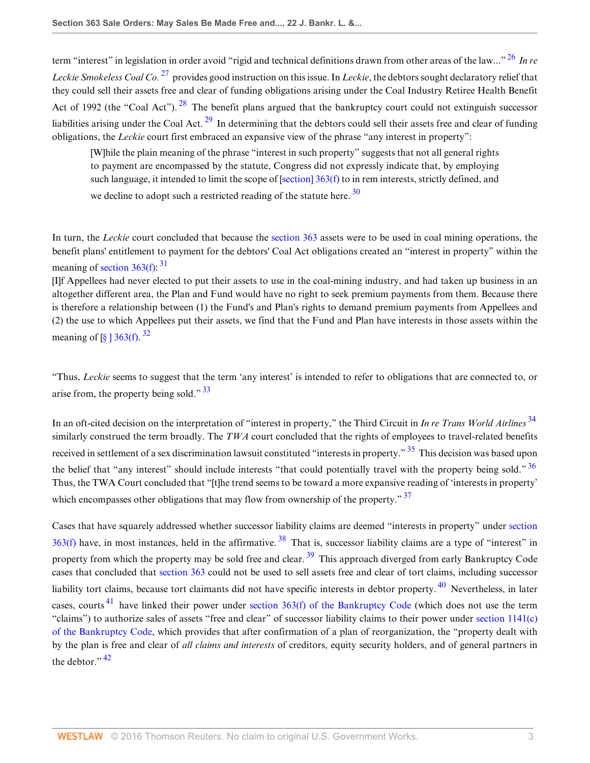term "interest" in legislation in order avoid "rigid and technical definitions drawn from other areas of the law..." [26](#page-10-0) *In re Leckie Smokeless Coal Co.* [27](#page-10-1) provides good instruction on this issue. In *Leckie*, the debtors sought declaratory relief that they could sell their assets free and clear of funding obligations arising under the Coal Industry Retiree Health Benefit Act of 1992 (the "Coal Act").  $^{28}$  $^{28}$  $^{28}$  The benefit plans argued that the bankruptcy court could not extinguish successor liabilities arising under the Coal Act.  $^{29}$  $^{29}$  $^{29}$  In determining that the debtors could sell their assets free and clear of funding obligations, the *Leckie* court first embraced an expansive view of the phrase "any interest in property":

<span id="page-2-3"></span><span id="page-2-2"></span><span id="page-2-1"></span><span id="page-2-0"></span>[W]hile the plain meaning of the phrase "interest in such property" suggests that not all general rights to payment are encompassed by the statute, Congress did not expressly indicate that, by employing such language, it intended to limit the scope of [section]  $363(f)$  to in rem interests, strictly defined, and

<span id="page-2-5"></span><span id="page-2-4"></span>we decline to adopt such a restricted reading of the statute here.  $30$ 

In turn, the *Leckie* court concluded that because the [section 363](http://www.westlaw.com/Link/Document/FullText?findType=L&pubNum=1000546&cite=11USCAS363&originatingDoc=Id995dd93f9da11e28578f7ccc38dcbee&refType=LQ&originationContext=document&vr=3.0&rs=cblt1.0&transitionType=DocumentItem&contextData=(sc.Search)) assets were to be used in coal mining operations, the benefit plans' entitlement to payment for the debtors' Coal Act obligations created an "interest in property" within the meaning of section  $363(f)$ :  $31$ 

[I]f Appellees had never elected to put their assets to use in the coal-mining industry, and had taken up business in an altogether different area, the Plan and Fund would have no right to seek premium payments from them. Because there is therefore a relationship between (1) the Fund's and Plan's rights to demand premium payments from Appellees and (2) the use to which Appellees put their assets, we find that the Fund and Plan have interests in those assets within the meaning of  $\left[\S\right]$  363(f). <sup>[32](#page-10-6)</sup>

<span id="page-2-7"></span><span id="page-2-6"></span>"Thus, *Leckie* seems to suggest that the term 'any interest' is intended to refer to obligations that are connected to, or arise from, the property being sold."  $33$ 

<span id="page-2-10"></span><span id="page-2-9"></span><span id="page-2-8"></span>In an oft-cited decision on the interpretation of "interest in property," the Third Circuit in *In re Trans World Airlines* [34](#page-10-8) similarly construed the term broadly. The *TWA* court concluded that the rights of employees to travel-related benefits received in settlement of a sex discrimination lawsuit constituted "interests in property." <sup>[35](#page-10-9)</sup> This decision was based upon the belief that "any interest" should include interests "that could potentially travel with the property being sold." [36](#page-10-10) Thus, the TWA Court concluded that "[t]he trend seems to be toward a more expansive reading of 'interests in property' which encompasses other obligations that may flow from ownership of the property."  $\frac{37}{27}$  $\frac{37}{27}$  $\frac{37}{27}$ 

<span id="page-2-16"></span><span id="page-2-15"></span><span id="page-2-14"></span><span id="page-2-13"></span><span id="page-2-12"></span><span id="page-2-11"></span>Cases that have squarely addressed whether successor liability claims are deemed "interests in property" under [section](http://www.westlaw.com/Link/Document/FullText?findType=L&pubNum=1000546&cite=11USCAS363&originatingDoc=Id995dd93f9da11e28578f7ccc38dcbee&refType=LQ&originationContext=document&vr=3.0&rs=cblt1.0&transitionType=DocumentItem&contextData=(sc.Search))  $363(f)$  have, in most instances, held in the affirmative.  $38$  That is, successor liability claims are a type of "interest" in property from which the property may be sold free and clear.  $39$  This approach diverged from early Bankruptcy Code cases that concluded that [section 363](http://www.westlaw.com/Link/Document/FullText?findType=L&pubNum=1000546&cite=11USCAS363&originatingDoc=Id995dd93f9da11e28578f7ccc38dcbee&refType=LQ&originationContext=document&vr=3.0&rs=cblt1.0&transitionType=DocumentItem&contextData=(sc.Search)) could not be used to sell assets free and clear of tort claims, including successor liability tort claims, because tort claimants did not have specific interests in debtor property. [40](#page-10-14) Nevertheless, in later cases, courts<sup>[41](#page-10-15)</sup> have linked their power under [section 363\(f\) of the Bankruptcy Code](http://www.westlaw.com/Link/Document/FullText?findType=L&pubNum=1000546&cite=11USCAS363&originatingDoc=Id995dd93f9da11e28578f7ccc38dcbee&refType=LQ&originationContext=document&vr=3.0&rs=cblt1.0&transitionType=DocumentItem&contextData=(sc.Search)) (which does not use the term "claims") to authorize sales of assets "free and clear" of successor liability claims to their power under [section 1141\(c\)](http://www.westlaw.com/Link/Document/FullText?findType=L&pubNum=1000546&cite=11USCAS1141&originatingDoc=Id995dd93f9da11e28578f7ccc38dcbee&refType=LQ&originationContext=document&vr=3.0&rs=cblt1.0&transitionType=DocumentItem&contextData=(sc.Search)) [of the Bankruptcy Code,](http://www.westlaw.com/Link/Document/FullText?findType=L&pubNum=1000546&cite=11USCAS1141&originatingDoc=Id995dd93f9da11e28578f7ccc38dcbee&refType=LQ&originationContext=document&vr=3.0&rs=cblt1.0&transitionType=DocumentItem&contextData=(sc.Search)) which provides that after confirmation of a plan of reorganization, the "property dealt with by the plan is free and clear of *all claims and interests* of creditors, equity security holders, and of general partners in the debtor  $\frac{1}{2}$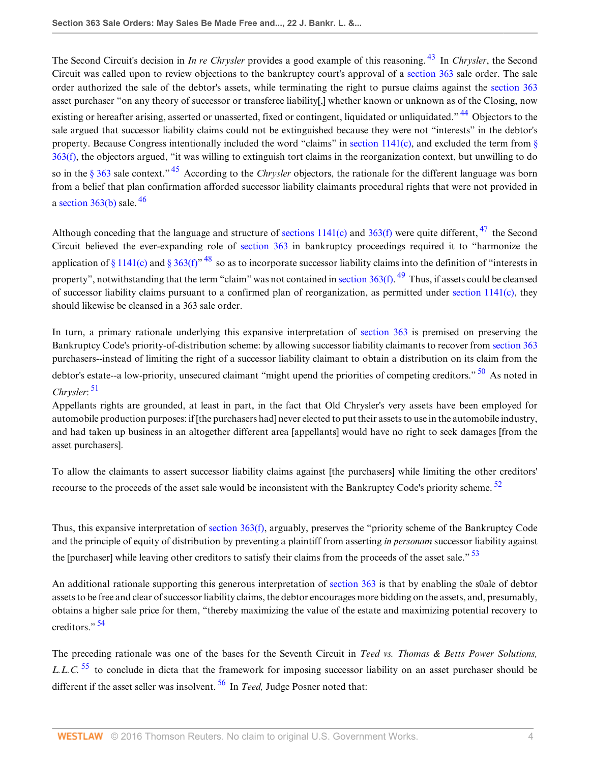<span id="page-3-1"></span><span id="page-3-0"></span>The Second Circuit's decision in *In re Chrysler* provides a good example of this reasoning. [43](#page-10-17) In *Chrysler*, the Second Circuit was called upon to review objections to the bankruptcy court's approval of a [section 363](http://www.westlaw.com/Link/Document/FullText?findType=L&pubNum=1000546&cite=11USCAS363&originatingDoc=Id995dd93f9da11e28578f7ccc38dcbee&refType=LQ&originationContext=document&vr=3.0&rs=cblt1.0&transitionType=DocumentItem&contextData=(sc.Search)) sale order. The sale order authorized the sale of the debtor's assets, while terminating the right to pursue claims against the [section 363](http://www.westlaw.com/Link/Document/FullText?findType=L&pubNum=1000546&cite=11USCAS363&originatingDoc=Id995dd93f9da11e28578f7ccc38dcbee&refType=LQ&originationContext=document&vr=3.0&rs=cblt1.0&transitionType=DocumentItem&contextData=(sc.Search)) asset purchaser "on any theory of successor or transferee liability[,] whether known or unknown as of the Closing, now existing or hereafter arising, asserted or unasserted, fixed or contingent, liquidated or unliquidated." <sup>[44](#page-10-18)</sup> Objectors to the sale argued that successor liability claims could not be extinguished because they were not "interests" in the debtor's property. Because Congress intentionally included the word "claims" in [section 1141\(c\),](http://www.westlaw.com/Link/Document/FullText?findType=L&pubNum=1000546&cite=11USCAS1141&originatingDoc=Id995dd93f9da11e28578f7ccc38dcbee&refType=LQ&originationContext=document&vr=3.0&rs=cblt1.0&transitionType=DocumentItem&contextData=(sc.Search)) and excluded the term from [§](http://www.westlaw.com/Link/Document/FullText?findType=L&pubNum=1000546&cite=11USCAS363&originatingDoc=Id995dd93f9da11e28578f7ccc38dcbee&refType=LQ&originationContext=document&vr=3.0&rs=cblt1.0&transitionType=DocumentItem&contextData=(sc.Search)) [363\(f\),](http://www.westlaw.com/Link/Document/FullText?findType=L&pubNum=1000546&cite=11USCAS363&originatingDoc=Id995dd93f9da11e28578f7ccc38dcbee&refType=LQ&originationContext=document&vr=3.0&rs=cblt1.0&transitionType=DocumentItem&contextData=(sc.Search)) the objectors argued, "it was willing to extinguish tort claims in the reorganization context, but unwilling to do so in the [§ 363](http://www.westlaw.com/Link/Document/FullText?findType=L&pubNum=1000546&cite=11USCAS363&originatingDoc=Id995dd93f9da11e28578f7ccc38dcbee&refType=LQ&originationContext=document&vr=3.0&rs=cblt1.0&transitionType=DocumentItem&contextData=(sc.Search)) sale context." [45](#page-10-19) According to the *Chrysler* objectors, the rationale for the different language was born from a belief that plan confirmation afforded successor liability claimants procedural rights that were not provided in a section  $363(b)$  sale.  $46$ 

<span id="page-3-6"></span><span id="page-3-5"></span><span id="page-3-4"></span><span id="page-3-3"></span><span id="page-3-2"></span>Although conceding that the language and structure of sections  $1141(c)$  and  $363(f)$  were quite different, <sup>[47](#page-10-21)</sup> the Second Circuit believed the ever-expanding role of [section 363](http://www.westlaw.com/Link/Document/FullText?findType=L&pubNum=1000546&cite=11USCAS363&originatingDoc=Id995dd93f9da11e28578f7ccc38dcbee&refType=LQ&originationContext=document&vr=3.0&rs=cblt1.0&transitionType=DocumentItem&contextData=(sc.Search)) in bankruptcy proceedings required it to "harmonize the application of [§ 1141\(c\)](http://www.westlaw.com/Link/Document/FullText?findType=L&pubNum=1000546&cite=11USCAS1141&originatingDoc=Id995dd93f9da11e28578f7ccc38dcbee&refType=LQ&originationContext=document&vr=3.0&rs=cblt1.0&transitionType=DocumentItem&contextData=(sc.Search)) and [§ 363\(f\)](http://www.westlaw.com/Link/Document/FullText?findType=L&pubNum=1000546&cite=11USCAS363&originatingDoc=Id995dd93f9da11e28578f7ccc38dcbee&refType=LQ&originationContext=document&vr=3.0&rs=cblt1.0&transitionType=DocumentItem&contextData=(sc.Search))<sup>", [48](#page-10-22)</sup> so as to incorporate successor liability claims into the definition of "interests in property", notwithstanding that the term "claim" was not contained in [section 363\(f\)](http://www.westlaw.com/Link/Document/FullText?findType=L&pubNum=1000546&cite=11USCAS363&originatingDoc=Id995dd93f9da11e28578f7ccc38dcbee&refType=LQ&originationContext=document&vr=3.0&rs=cblt1.0&transitionType=DocumentItem&contextData=(sc.Search)). <sup>[49](#page-11-0)</sup> Thus, if assets could be cleansed of successor liability claims pursuant to a confirmed plan of reorganization, as permitted under section  $1141(c)$ , they should likewise be cleansed in a 363 sale order.

<span id="page-3-7"></span>In turn, a primary rationale underlying this expansive interpretation of [section 363](http://www.westlaw.com/Link/Document/FullText?findType=L&pubNum=1000546&cite=11USCAS363&originatingDoc=Id995dd93f9da11e28578f7ccc38dcbee&refType=LQ&originationContext=document&vr=3.0&rs=cblt1.0&transitionType=DocumentItem&contextData=(sc.Search)) is premised on preserving the Bankruptcy Code's priority-of-distribution scheme: by allowing successor liability claimants to recover from [section 363](http://www.westlaw.com/Link/Document/FullText?findType=L&pubNum=1000546&cite=11USCAS363&originatingDoc=Id995dd93f9da11e28578f7ccc38dcbee&refType=LQ&originationContext=document&vr=3.0&rs=cblt1.0&transitionType=DocumentItem&contextData=(sc.Search)) purchasers--instead of limiting the right of a successor liability claimant to obtain a distribution on its claim from the debtor's estate--a low-priority, unsecured claimant "might upend the priorities of competing creditors." <sup>[50](#page-11-1)</sup> As noted in *Chrysler*: [51](#page-11-2)

<span id="page-3-8"></span>Appellants rights are grounded, at least in part, in the fact that Old Chrysler's very assets have been employed for automobile production purposes: if [the purchasers had] never elected to put their assets to use in the automobile industry, and had taken up business in an altogether different area [appellants] would have no right to seek damages [from the asset purchasers].

<span id="page-3-9"></span>To allow the claimants to assert successor liability claims against [the purchasers] while limiting the other creditors' recourse to the proceeds of the asset sale would be inconsistent with the Bankruptcy Code's priority scheme. <sup>[52](#page-11-3)</sup>

<span id="page-3-10"></span>Thus, this expansive interpretation of [section 363\(f\)](http://www.westlaw.com/Link/Document/FullText?findType=L&pubNum=1000546&cite=11USCAS363&originatingDoc=Id995dd93f9da11e28578f7ccc38dcbee&refType=LQ&originationContext=document&vr=3.0&rs=cblt1.0&transitionType=DocumentItem&contextData=(sc.Search)), arguably, preserves the "priority scheme of the Bankruptcy Code and the principle of equity of distribution by preventing a plaintiff from asserting *in personam* successor liability against the [purchaser] while leaving other creditors to satisfy their claims from the proceeds of the asset sale."  $53$ 

An additional rationale supporting this generous interpretation of [section 363](http://www.westlaw.com/Link/Document/FullText?findType=L&pubNum=1000546&cite=11USCAS363&originatingDoc=Id995dd93f9da11e28578f7ccc38dcbee&refType=LQ&originationContext=document&vr=3.0&rs=cblt1.0&transitionType=DocumentItem&contextData=(sc.Search)) is that by enabling the s0ale of debtor assets to be free and clear of successor liability claims, the debtor encourages more bidding on the assets, and, presumably, obtains a higher sale price for them, "thereby maximizing the value of the estate and maximizing potential recovery to creditors." [54](#page-11-5)

<span id="page-3-13"></span><span id="page-3-12"></span><span id="page-3-11"></span>The preceding rationale was one of the bases for the Seventh Circuit in *Teed vs. Thomas & Betts Power Solutions, L.L.C.*<sup>[55](#page-11-6)</sup> to conclude in dicta that the framework for imposing successor liability on an asset purchaser should be different if the asset seller was insolvent. [56](#page-11-7) In *Teed,* Judge Posner noted that: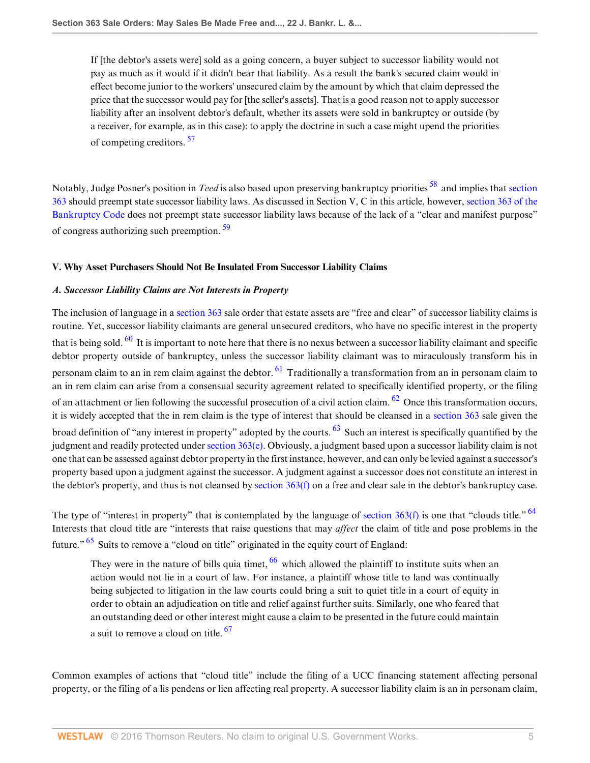<span id="page-4-1"></span><span id="page-4-0"></span>If [the debtor's assets were] sold as a going concern, a buyer subject to successor liability would not pay as much as it would if it didn't bear that liability. As a result the bank's secured claim would in effect become junior to the workers' unsecured claim by the amount by which that claim depressed the price that the successor would pay for [the seller's assets]. That is a good reason not to apply successor liability after an insolvent debtor's default, whether its assets were sold in bankruptcy or outside (by a receiver, for example, as in this case): to apply the doctrine in such a case might upend the priorities of competing creditors.<sup>[57](#page-11-8)</sup>

<span id="page-4-2"></span>Notably, Judge Posner's position in *Teed* is also based upon preserving bankruptcy priorities [58](#page-11-9) and implies that [section](http://www.westlaw.com/Link/Document/FullText?findType=L&pubNum=1000546&cite=11USCAS363&originatingDoc=Id995dd93f9da11e28578f7ccc38dcbee&refType=LQ&originationContext=document&vr=3.0&rs=cblt1.0&transitionType=DocumentItem&contextData=(sc.Search)) [363](http://www.westlaw.com/Link/Document/FullText?findType=L&pubNum=1000546&cite=11USCAS363&originatingDoc=Id995dd93f9da11e28578f7ccc38dcbee&refType=LQ&originationContext=document&vr=3.0&rs=cblt1.0&transitionType=DocumentItem&contextData=(sc.Search)) should preempt state successor liability laws. As discussed in Section V, C in this article, however, [section 363 of the](http://www.westlaw.com/Link/Document/FullText?findType=L&pubNum=1000546&cite=11USCAS363&originatingDoc=Id995dd93f9da11e28578f7ccc38dcbee&refType=LQ&originationContext=document&vr=3.0&rs=cblt1.0&transitionType=DocumentItem&contextData=(sc.Search)) [Bankruptcy Code](http://www.westlaw.com/Link/Document/FullText?findType=L&pubNum=1000546&cite=11USCAS363&originatingDoc=Id995dd93f9da11e28578f7ccc38dcbee&refType=LQ&originationContext=document&vr=3.0&rs=cblt1.0&transitionType=DocumentItem&contextData=(sc.Search)) does not preempt state successor liability laws because of the lack of a "clear and manifest purpose" of congress authorizing such preemption. [59](#page-11-10)

#### **V. Why Asset Purchasers Should Not Be Insulated From Successor Liability Claims**

#### *A. Successor Liability Claims are Not Interests in Property*

<span id="page-4-4"></span><span id="page-4-3"></span>The inclusion of language in a [section 363](http://www.westlaw.com/Link/Document/FullText?findType=L&pubNum=1000546&cite=11USCAS363&originatingDoc=Id995dd93f9da11e28578f7ccc38dcbee&refType=LQ&originationContext=document&vr=3.0&rs=cblt1.0&transitionType=DocumentItem&contextData=(sc.Search)) sale order that estate assets are "free and clear" of successor liability claims is routine. Yet, successor liability claimants are general unsecured creditors, who have no specific interest in the property that is being sold.  $^{60}$  $^{60}$  $^{60}$  It is important to note here that there is no nexus between a successor liability claimant and specific debtor property outside of bankruptcy, unless the successor liability claimant was to miraculously transform his in personam claim to an in rem claim against the debtor. <sup>[61](#page-11-12)</sup> Traditionally a transformation from an in personam claim to an in rem claim can arise from a consensual security agreement related to specifically identified property, or the filing of an attachment or lien following the successful prosecution of a civil action claim. <sup>[62](#page-11-13)</sup> Once this transformation occurs, it is widely accepted that the in rem claim is the type of interest that should be cleansed in a [section 363](http://www.westlaw.com/Link/Document/FullText?findType=L&pubNum=1000546&cite=11USCAS363&originatingDoc=Id995dd93f9da11e28578f7ccc38dcbee&refType=LQ&originationContext=document&vr=3.0&rs=cblt1.0&transitionType=DocumentItem&contextData=(sc.Search)) sale given the broad definition of "any interest in property" adopted by the courts. <sup>[63](#page-11-14)</sup> Such an interest is specifically quantified by the judgment and readily protected under [section 363\(e\).](http://www.westlaw.com/Link/Document/FullText?findType=L&pubNum=1000546&cite=11USCAS363&originatingDoc=Id995dd93f9da11e28578f7ccc38dcbee&refType=LQ&originationContext=document&vr=3.0&rs=cblt1.0&transitionType=DocumentItem&contextData=(sc.Search)) Obviously, a judgment based upon a successor liability claim is not one that can be assessed against debtor property in the first instance, however, and can only be levied against a successor's property based upon a judgment against the successor. A judgment against a successor does not constitute an interest in the debtor's property, and thus is not cleansed by [section 363\(f\)](http://www.westlaw.com/Link/Document/FullText?findType=L&pubNum=1000546&cite=11USCAS363&originatingDoc=Id995dd93f9da11e28578f7ccc38dcbee&refType=LQ&originationContext=document&vr=3.0&rs=cblt1.0&transitionType=DocumentItem&contextData=(sc.Search)) on a free and clear sale in the debtor's bankruptcy case.

The type of "interest in property" that is contemplated by the language of section  $363(f)$  is one that "clouds title."  $^{64}$  $^{64}$  $^{64}$ Interests that cloud title are "interests that raise questions that may *affect* the claim of title and pose problems in the future."  $65$  Suits to remove a "cloud on title" originated in the equity court of England:

<span id="page-4-10"></span><span id="page-4-9"></span><span id="page-4-8"></span><span id="page-4-7"></span><span id="page-4-6"></span><span id="page-4-5"></span>They were in the nature of bills quia timet, <sup>[66](#page-11-17)</sup> which allowed the plaintiff to institute suits when an action would not lie in a court of law. For instance, a plaintiff whose title to land was continually being subjected to litigation in the law courts could bring a suit to quiet title in a court of equity in order to obtain an adjudication on title and relief against further suits. Similarly, one who feared that an outstanding deed or other interest might cause a claim to be presented in the future could maintain a suit to remove a cloud on title. <sup>[67](#page-11-18)</sup>

Common examples of actions that "cloud title" include the filing of a UCC financing statement affecting personal property, or the filing of a lis pendens or lien affecting real property. A successor liability claim is an in personam claim,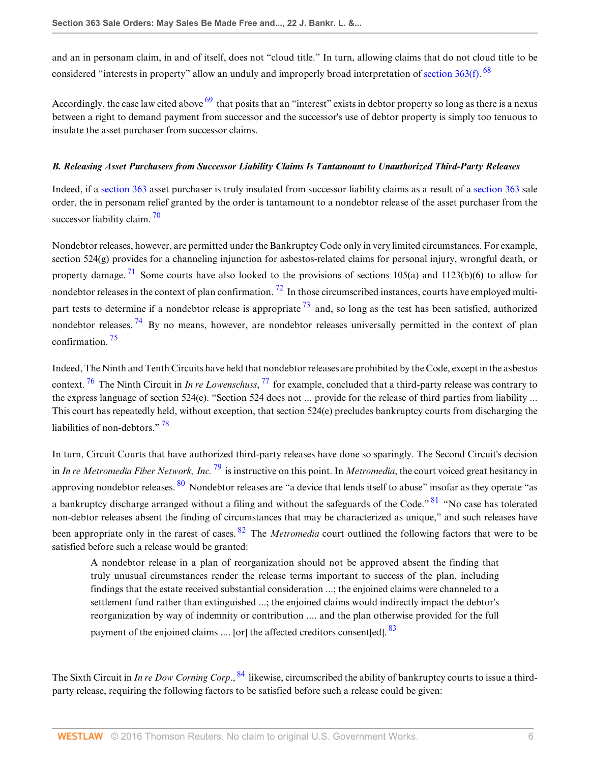<span id="page-5-0"></span>and an in personam claim, in and of itself, does not "cloud title." In turn, allowing claims that do not cloud title to be considered "interests in property" allow an unduly and improperly broad interpretation of [section 363\(f\)](http://www.westlaw.com/Link/Document/FullText?findType=L&pubNum=1000546&cite=11USCAS363&originatingDoc=Id995dd93f9da11e28578f7ccc38dcbee&refType=LQ&originationContext=document&vr=3.0&rs=cblt1.0&transitionType=DocumentItem&contextData=(sc.Search)). <sup>[68](#page-11-19)</sup>

<span id="page-5-1"></span>Accordingly, the case law cited above  $\frac{69}{2}$  $\frac{69}{2}$  $\frac{69}{2}$  that posits that an "interest" exists in debtor property so long as there is a nexus between a right to demand payment from successor and the successor's use of debtor property is simply too tenuous to insulate the asset purchaser from successor claims.

### *B. Releasing Asset Purchasers from Successor Liability Claims Is Tantamount to Unauthorized Third-Party Releases*

<span id="page-5-2"></span>Indeed, if a [section 363](http://www.westlaw.com/Link/Document/FullText?findType=L&pubNum=1000546&cite=11USCAS363&originatingDoc=Id995dd93f9da11e28578f7ccc38dcbee&refType=LQ&originationContext=document&vr=3.0&rs=cblt1.0&transitionType=DocumentItem&contextData=(sc.Search)) asset purchaser is truly insulated from successor liability claims as a result of a [section 363](http://www.westlaw.com/Link/Document/FullText?findType=L&pubNum=1000546&cite=11USCAS363&originatingDoc=Id995dd93f9da11e28578f7ccc38dcbee&refType=LQ&originationContext=document&vr=3.0&rs=cblt1.0&transitionType=DocumentItem&contextData=(sc.Search)) sale order, the in personam relief granted by the order is tantamount to a nondebtor release of the asset purchaser from the successor liability claim.  $\frac{70}{2}$  $\frac{70}{2}$  $\frac{70}{2}$ 

<span id="page-5-5"></span><span id="page-5-4"></span><span id="page-5-3"></span>Nondebtor releases, however, are permitted under the Bankruptcy Code only in very limited circumstances. For example, section 524(g) provides for a channeling injunction for asbestos-related claims for personal injury, wrongful death, or property damage. <sup>[71](#page-12-0)</sup> Some courts have also looked to the provisions of sections 105(a) and 1123(b)(6) to allow for nondebtor releases in the context of plan confirmation.  $^{72}$  $^{72}$  $^{72}$  In those circumscribed instances, courts have employed multipart tests to determine if a nondebtor release is appropriate  $^{73}$  $^{73}$  $^{73}$  and, so long as the test has been satisfied, authorized nondebtor releases.<sup>[74](#page-12-3)</sup> By no means, however, are nondebtor releases universally permitted in the context of plan confirmation. [75](#page-12-4)

<span id="page-5-9"></span><span id="page-5-8"></span><span id="page-5-7"></span><span id="page-5-6"></span>Indeed, The Ninth and Tenth Circuits have held that nondebtor releases are prohibited by the Code, except in the asbestos context. [76](#page-12-5) The Ninth Circuit in *In re Lowenschuss*, [77](#page-12-6) for example, concluded that a third-party release was contrary to the express language of section 524(e). "Section 524 does not ... provide for the release of third parties from liability ... This court has repeatedly held, without exception, that section 524(e) precludes bankruptcy courts from discharging the liabilities of non-debtors."<sup>[78](#page-12-7)</sup>

<span id="page-5-10"></span>In turn, Circuit Courts that have authorized third-party releases have done so sparingly. The Second Circuit's decision in *In re Metromedia Fiber Network, Inc.* [79](#page-12-8) is instructive on this point. In *Metromedia*, the court voiced great hesitancy in approving nondebtor releases. [80](#page-12-9) Nondebtor releases are "a device that lends itself to abuse" insofar as they operate "as a bankruptcy discharge arranged without a filing and without the safeguards of the Code." <sup>[81](#page-12-10)</sup> "No case has tolerated non-debtor releases absent the finding of circumstances that may be characterized as unique," and such releases have been appropriate only in the rarest of cases. <sup>[82](#page-12-11)</sup> The *Metromedia* court outlined the following factors that were to be satisfied before such a release would be granted:

<span id="page-5-16"></span><span id="page-5-15"></span><span id="page-5-14"></span><span id="page-5-13"></span><span id="page-5-12"></span><span id="page-5-11"></span>A nondebtor release in a plan of reorganization should not be approved absent the finding that truly unusual circumstances render the release terms important to success of the plan, including findings that the estate received substantial consideration ...; the enjoined claims were channeled to a settlement fund rather than extinguished ...; the enjoined claims would indirectly impact the debtor's reorganization by way of indemnity or contribution .... and the plan otherwise provided for the full payment of the enjoined claims  $\dots$  [or] the affected creditors consent[ed].  $83$ 

The Sixth Circuit in *In re Dow Corning Corp*., [84](#page-12-13) likewise, circumscribed the ability of bankruptcy courts to issue a thirdparty release, requiring the following factors to be satisfied before such a release could be given: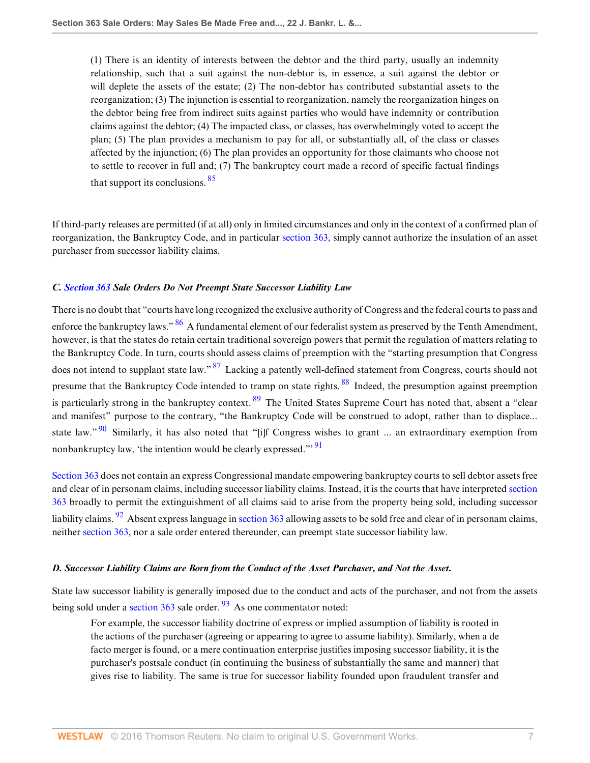(1) There is an identity of interests between the debtor and the third party, usually an indemnity relationship, such that a suit against the non-debtor is, in essence, a suit against the debtor or will deplete the assets of the estate; (2) The non-debtor has contributed substantial assets to the reorganization; (3) The injunction is essential to reorganization, namely the reorganization hinges on the debtor being free from indirect suits against parties who would have indemnity or contribution claims against the debtor; (4) The impacted class, or classes, has overwhelmingly voted to accept the plan; (5) The plan provides a mechanism to pay for all, or substantially all, of the class or classes affected by the injunction; (6) The plan provides an opportunity for those claimants who choose not to settle to recover in full and; (7) The bankruptcy court made a record of specific factual findings that support its conclusions. [85](#page-12-14)

<span id="page-6-0"></span>If third-party releases are permitted (if at all) only in limited circumstances and only in the context of a confirmed plan of reorganization, the Bankruptcy Code, and in particular [section 363,](http://www.westlaw.com/Link/Document/FullText?findType=L&pubNum=1000546&cite=11USCAS363&originatingDoc=Id995dd93f9da11e28578f7ccc38dcbee&refType=LQ&originationContext=document&vr=3.0&rs=cblt1.0&transitionType=DocumentItem&contextData=(sc.Search)) simply cannot authorize the insulation of an asset purchaser from successor liability claims.

#### *C. [Section 363](http://www.westlaw.com/Link/Document/FullText?findType=L&pubNum=1000546&cite=11USCAS363&originatingDoc=Id995dd93f9da11e28578f7ccc38dcbee&refType=LQ&originationContext=document&vr=3.0&rs=cblt1.0&transitionType=DocumentItem&contextData=(sc.Search)) Sale Orders Do Not Preempt State Successor Liability Law*

<span id="page-6-3"></span><span id="page-6-2"></span><span id="page-6-1"></span>There is no doubt that "courts have long recognized the exclusive authority of Congress and the federal courts to pass and enforce the bankruptcy laws." <sup>[86](#page-12-15)</sup> A fundamental element of our federalist system as preserved by the Tenth Amendment, however, is that the states do retain certain traditional sovereign powers that permit the regulation of matters relating to the Bankruptcy Code. In turn, courts should assess claims of preemption with the "starting presumption that Congress does not intend to supplant state law." <sup>[87](#page-12-16)</sup> Lacking a patently well-defined statement from Congress, courts should not presume that the Bankruptcy Code intended to tramp on state rights. <sup>[88](#page-12-17)</sup> Indeed, the presumption against preemption is particularly strong in the bankruptcy context.  $89$  The United States Supreme Court has noted that, absent a "clear and manifest" purpose to the contrary, "the Bankruptcy Code will be construed to adopt, rather than to displace... state law."<sup>[90](#page-13-2)</sup> Similarly, it has also noted that "[i]f Congress wishes to grant ... an extraordinary exemption from nonbankruptcy law, 'the intention would be clearly expressed."<sup>[91](#page-13-3)</sup>

<span id="page-6-7"></span><span id="page-6-6"></span><span id="page-6-5"></span><span id="page-6-4"></span>[Section 363](http://www.westlaw.com/Link/Document/FullText?findType=L&pubNum=1000546&cite=11USCAS363&originatingDoc=Id995dd93f9da11e28578f7ccc38dcbee&refType=LQ&originationContext=document&vr=3.0&rs=cblt1.0&transitionType=DocumentItem&contextData=(sc.Search)) does not contain an express Congressional mandate empowering bankruptcy courts to sell debtor assets free and clear of in personam claims, including successor liability claims. Instead, it is the courts that have interpreted [section](http://www.westlaw.com/Link/Document/FullText?findType=L&pubNum=1000546&cite=11USCAS363&originatingDoc=Id995dd93f9da11e28578f7ccc38dcbee&refType=LQ&originationContext=document&vr=3.0&rs=cblt1.0&transitionType=DocumentItem&contextData=(sc.Search)) [363](http://www.westlaw.com/Link/Document/FullText?findType=L&pubNum=1000546&cite=11USCAS363&originatingDoc=Id995dd93f9da11e28578f7ccc38dcbee&refType=LQ&originationContext=document&vr=3.0&rs=cblt1.0&transitionType=DocumentItem&contextData=(sc.Search)) broadly to permit the extinguishment of all claims said to arise from the property being sold, including successor liability claims. [92](#page-13-4) Absent express language in [section 363](http://www.westlaw.com/Link/Document/FullText?findType=L&pubNum=1000546&cite=11USCAS363&originatingDoc=Id995dd93f9da11e28578f7ccc38dcbee&refType=LQ&originationContext=document&vr=3.0&rs=cblt1.0&transitionType=DocumentItem&contextData=(sc.Search)) allowing assets to be sold free and clear of in personam claims, neither [section 363](http://www.westlaw.com/Link/Document/FullText?findType=L&pubNum=1000546&cite=11USCAS363&originatingDoc=Id995dd93f9da11e28578f7ccc38dcbee&refType=LQ&originationContext=document&vr=3.0&rs=cblt1.0&transitionType=DocumentItem&contextData=(sc.Search)), nor a sale order entered thereunder, can preempt state successor liability law.

#### *D. Successor Liability Claims are Born from the Conduct of the Asset Purchaser, and Not the Asset.*

State law successor liability is generally imposed due to the conduct and acts of the purchaser, and not from the assets being sold under a section  $363$  sale order.  $93$  As one commentator noted:

<span id="page-6-8"></span>For example, the successor liability doctrine of express or implied assumption of liability is rooted in the actions of the purchaser (agreeing or appearing to agree to assume liability). Similarly, when a de facto merger is found, or a mere continuation enterprise justifies imposing successor liability, it is the purchaser's postsale conduct (in continuing the business of substantially the same and manner) that gives rise to liability. The same is true for successor liability founded upon fraudulent transfer and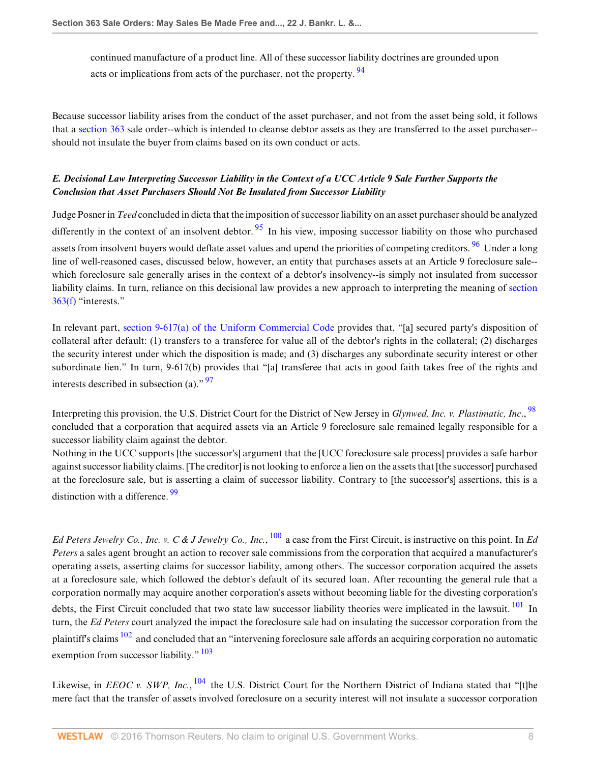<span id="page-7-0"></span>continued manufacture of a product line. All of these successor liability doctrines are grounded upon acts or implications from acts of the purchaser, not the property. <sup>[94](#page-13-6)</sup>

Because successor liability arises from the conduct of the asset purchaser, and not from the asset being sold, it follows that a [section 363](http://www.westlaw.com/Link/Document/FullText?findType=L&pubNum=1000546&cite=11USCAS363&originatingDoc=Id995dd93f9da11e28578f7ccc38dcbee&refType=LQ&originationContext=document&vr=3.0&rs=cblt1.0&transitionType=DocumentItem&contextData=(sc.Search)) sale order--which is intended to cleanse debtor assets as they are transferred to the asset purchaser- should not insulate the buyer from claims based on its own conduct or acts.

# *E. Decisional Law Interpreting Successor Liability in the Context of a UCC Article 9 Sale Further Supports the Conclusion that Asset Purchasers Should Not Be Insulated from Successor Liability*

<span id="page-7-2"></span><span id="page-7-1"></span>Judge Posner in *Teed* concluded in dicta that the imposition of successor liability on an asset purchaser should be analyzed differently in the context of an insolvent debtor.  $\frac{95}{1}$  $\frac{95}{1}$  $\frac{95}{1}$  In his view, imposing successor liability on those who purchased assets from insolvent buyers would deflate asset values and upend the priorities of competing creditors. <sup>[96](#page-13-8)</sup> Under a long line of well-reasoned cases, discussed below, however, an entity that purchases assets at an Article 9 foreclosure sale- which foreclosure sale generally arises in the context of a debtor's insolvency--is simply not insulated from successor liability claims. In turn, reliance on this decisional law provides a new approach to interpreting the meaning of [section](http://www.westlaw.com/Link/Document/FullText?findType=L&pubNum=1000546&cite=11USCAS363&originatingDoc=Id995dd93f9da11e28578f7ccc38dcbee&refType=LQ&originationContext=document&vr=3.0&rs=cblt1.0&transitionType=DocumentItem&contextData=(sc.Search)) [363\(f\)](http://www.westlaw.com/Link/Document/FullText?findType=L&pubNum=1000546&cite=11USCAS363&originatingDoc=Id995dd93f9da11e28578f7ccc38dcbee&refType=LQ&originationContext=document&vr=3.0&rs=cblt1.0&transitionType=DocumentItem&contextData=(sc.Search)) "interests."

In relevant part, [section 9-617\(a\) of the Uniform Commercial Code](http://www.westlaw.com/Link/Document/FullText?findType=L&pubNum=1002112&cite=ULUCCS9-617&originatingDoc=Id995dd93f9da11e28578f7ccc38dcbee&refType=LQ&originationContext=document&vr=3.0&rs=cblt1.0&transitionType=DocumentItem&contextData=(sc.Search)) provides that, "[a] secured party's disposition of collateral after default: (1) transfers to a transferee for value all of the debtor's rights in the collateral; (2) discharges the security interest under which the disposition is made; and (3) discharges any subordinate security interest or other subordinate lien." In turn, 9-617(b) provides that "[a] transferee that acts in good faith takes free of the rights and interests described in subsection (a)."  $\frac{97}{2}$  $\frac{97}{2}$  $\frac{97}{2}$ 

<span id="page-7-4"></span><span id="page-7-3"></span>Interpreting this provision, the U.S. District Court for the District of New Jersey in *Glynwed, Inc. v. Plastimatic, Inc*., [98](#page-13-10) concluded that a corporation that acquired assets via an Article 9 foreclosure sale remained legally responsible for a successor liability claim against the debtor.

<span id="page-7-5"></span>Nothing in the UCC supports [the successor's] argument that the [UCC foreclosure sale process] provides a safe harbor against successor liability claims. [The creditor] is not looking to enforce a lien on the assets that [the successor] purchased at the foreclosure sale, but is asserting a claim of successor liability. Contrary to [the successor's] assertions, this is a distinction with a difference. <sup>[99](#page-13-11)</sup>

<span id="page-7-7"></span><span id="page-7-6"></span>*Ed Peters Jewelry Co., Inc. v. C & J Jewelry Co., Inc.*, [100](#page-13-12) a case from the First Circuit, is instructive on this point. In *Ed Peters* a sales agent brought an action to recover sale commissions from the corporation that acquired a manufacturer's operating assets, asserting claims for successor liability, among others. The successor corporation acquired the assets at a foreclosure sale, which followed the debtor's default of its secured loan. After recounting the general rule that a corporation normally may acquire another corporation's assets without becoming liable for the divesting corporation's debts, the First Circuit concluded that two state law successor liability theories were implicated in the lawsuit. <sup>[101](#page-13-13)</sup> In turn, the *Ed Peters* court analyzed the impact the foreclosure sale had on insulating the successor corporation from the plaintiff's claims  $102$  and concluded that an "intervening foreclosure sale affords an acquiring corporation no automatic exemption from successor liability. $\frac{103}{103}$  $\frac{103}{103}$  $\frac{103}{103}$ 

<span id="page-7-10"></span><span id="page-7-9"></span><span id="page-7-8"></span>Likewise, in *EEOC v. SWP, Inc.*, <sup>[104](#page-13-16)</sup> the U.S. District Court for the Northern District of Indiana stated that "[t]he mere fact that the transfer of assets involved foreclosure on a security interest will not insulate a successor corporation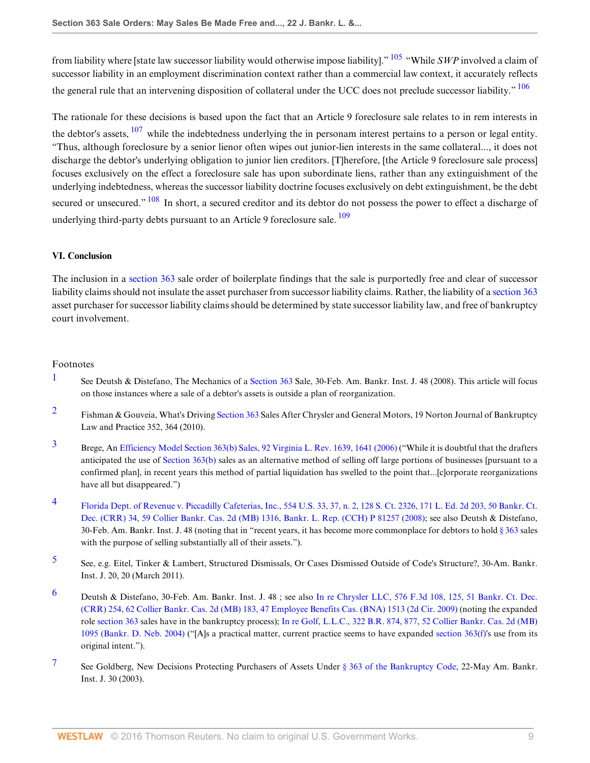<span id="page-8-8"></span><span id="page-8-7"></span>from liability where [state law successor liability would otherwise impose liability]." [105](#page-13-17) "While *SWP* involved a claim of successor liability in an employment discrimination context rather than a commercial law context, it accurately reflects the general rule that an intervening disposition of collateral under the UCC does not preclude successor liability." <sup>[106](#page-13-18)</sup>

<span id="page-8-9"></span>The rationale for these decisions is based upon the fact that an Article 9 foreclosure sale relates to in rem interests in the debtor's assets, <sup>[107](#page-13-19)</sup> while the indebtedness underlying the in personam interest pertains to a person or legal entity. "Thus, although foreclosure by a senior lienor often wipes out junior-lien interests in the same collateral..., it does not discharge the debtor's underlying obligation to junior lien creditors. [T]herefore, [the Article 9 foreclosure sale process] focuses exclusively on the effect a foreclosure sale has upon subordinate liens, rather than any extinguishment of the underlying indebtedness, whereas the successor liability doctrine focuses exclusively on debt extinguishment, be the debt secured or unsecured." <sup>[108](#page-13-20)</sup> In short, a secured creditor and its debtor do not possess the power to effect a discharge of underlying third-party debts pursuant to an Article 9 foreclosure sale.  $\frac{109}{2}$  $\frac{109}{2}$  $\frac{109}{2}$ 

## <span id="page-8-11"></span><span id="page-8-10"></span>**VI. Conclusion**

The inclusion in a [section 363](http://www.westlaw.com/Link/Document/FullText?findType=L&pubNum=1000546&cite=11USCAS363&originatingDoc=Id995dd93f9da11e28578f7ccc38dcbee&refType=LQ&originationContext=document&vr=3.0&rs=cblt1.0&transitionType=DocumentItem&contextData=(sc.Search)) sale order of boilerplate findings that the sale is purportedly free and clear of successor liability claims should not insulate the asset purchaser from successor liability claims. Rather, the liability of a [section 363](http://www.westlaw.com/Link/Document/FullText?findType=L&pubNum=1000546&cite=11USCAS363&originatingDoc=Id995dd93f9da11e28578f7ccc38dcbee&refType=LQ&originationContext=document&vr=3.0&rs=cblt1.0&transitionType=DocumentItem&contextData=(sc.Search)) asset purchaser for successor liability claims should be determined by state successor liability law, and free of bankruptcy court involvement.

#### Footnotes

- <span id="page-8-0"></span>[1](#page-0-0) See Deutsh & Distefano, The Mechanics of a [Section 363](http://www.westlaw.com/Link/Document/FullText?findType=L&pubNum=1000546&cite=11USCAS363&originatingDoc=Id995dd93f9da11e28578f7ccc38dcbee&refType=LQ&originationContext=document&vr=3.0&rs=cblt1.0&transitionType=DocumentItem&contextData=(sc.Search)) Sale, 30-Feb. Am. Bankr. Inst. J. 48 (2008). This article will focus on those instances where a sale of a debtor's assets is outside a plan of reorganization.
- <span id="page-8-1"></span><sup>[2](#page-0-1)</sup> Fishman & Gouveia, What's Driving [Section 363](http://www.westlaw.com/Link/Document/FullText?findType=L&pubNum=1000546&cite=11USCAS363&originatingDoc=Id995dd93f9da11e28578f7ccc38dcbee&refType=LQ&originationContext=document&vr=3.0&rs=cblt1.0&transitionType=DocumentItem&contextData=(sc.Search)) Sales After Chrysler and General Motors, 19 Norton Journal of Bankruptcy Law and Practice 352, 364 (2010).
- <span id="page-8-2"></span>[3](#page-0-2) Brege, An [Efficiency Model Section 363\(b\) Sales, 92 Virginia L. Rev. 1639, 1641 \(2006\)](http://www.westlaw.com/Link/Document/FullText?findType=Y&serNum=0328730214&pubNum=1359&originatingDoc=Id995dd93f9da11e28578f7ccc38dcbee&refType=LR&fi=co_pp_sp_1359_1641&originationContext=document&vr=3.0&rs=cblt1.0&transitionType=DocumentItem&contextData=(sc.Search)#co_pp_sp_1359_1641) ("While it is doubtful that the drafters anticipated the use of [Section 363\(b\)](http://www.westlaw.com/Link/Document/FullText?findType=L&pubNum=1000546&cite=11USCAS363&originatingDoc=Id995dd93f9da11e28578f7ccc38dcbee&refType=LQ&originationContext=document&vr=3.0&rs=cblt1.0&transitionType=DocumentItem&contextData=(sc.Search)) sales as an alternative method of selling off large portions of businesses [pursuant to a confirmed plan], in recent years this method of partial liquidation has swelled to the point that...[c]orporate reorganizations have all but disappeared.")
- <span id="page-8-3"></span>[4](#page-0-3) [Florida Dept. of Revenue v. Piccadilly Cafeterias, Inc., 554 U.S. 33, 37, n. 2, 128 S. Ct. 2326, 171 L. Ed. 2d 203, 50 Bankr. Ct.](http://www.westlaw.com/Link/Document/FullText?findType=Y&serNum=2016314012&pubNum=951&originatingDoc=Id995dd93f9da11e28578f7ccc38dcbee&refType=RP&originationContext=document&vr=3.0&rs=cblt1.0&transitionType=DocumentItem&contextData=(sc.Search)) [Dec. \(CRR\) 34, 59 Collier Bankr. Cas. 2d \(MB\) 1316, Bankr. L. Rep. \(CCH\) P 81257 \(2008\)](http://www.westlaw.com/Link/Document/FullText?findType=Y&serNum=2016314012&pubNum=951&originatingDoc=Id995dd93f9da11e28578f7ccc38dcbee&refType=RP&originationContext=document&vr=3.0&rs=cblt1.0&transitionType=DocumentItem&contextData=(sc.Search)); see also Deutsh & Distefano, 30-Feb. Am. Bankr. Inst. J. 48 (noting that in "recent years, it has become more commonplace for debtors to hold [§ 363](http://www.westlaw.com/Link/Document/FullText?findType=L&pubNum=1000546&cite=11USCAS363&originatingDoc=Id995dd93f9da11e28578f7ccc38dcbee&refType=LQ&originationContext=document&vr=3.0&rs=cblt1.0&transitionType=DocumentItem&contextData=(sc.Search)) sales with the purpose of selling substantially all of their assets.").
- <span id="page-8-4"></span>[5](#page-0-4) See, e.g. Eitel, Tinker & Lambert, Structured Dismissals, Or Cases Dismissed Outside of Code's Structure?, 30-Am. Bankr. Inst. J. 20, 20 (March 2011).
- <span id="page-8-5"></span>[6](#page-0-5) Deutsh & Distefano, 30-Feb. Am. Bankr. Inst. J. 48 ; see also [In re Chrysler LLC, 576 F.3d 108, 125, 51 Bankr. Ct. Dec.](http://www.westlaw.com/Link/Document/FullText?findType=Y&serNum=2019536081&pubNum=951&originatingDoc=Id995dd93f9da11e28578f7ccc38dcbee&refType=RP&originationContext=document&vr=3.0&rs=cblt1.0&transitionType=DocumentItem&contextData=(sc.Search)) [\(CRR\) 254, 62 Collier Bankr. Cas. 2d \(MB\) 183, 47 Employee Benefits Cas. \(BNA\) 1513 \(2d Cir. 2009\)](http://www.westlaw.com/Link/Document/FullText?findType=Y&serNum=2019536081&pubNum=951&originatingDoc=Id995dd93f9da11e28578f7ccc38dcbee&refType=RP&originationContext=document&vr=3.0&rs=cblt1.0&transitionType=DocumentItem&contextData=(sc.Search)) (noting the expanded role [section 363](http://www.westlaw.com/Link/Document/FullText?findType=L&pubNum=1000546&cite=11USCAS363&originatingDoc=Id995dd93f9da11e28578f7ccc38dcbee&refType=LQ&originationContext=document&vr=3.0&rs=cblt1.0&transitionType=DocumentItem&contextData=(sc.Search)) sales have in the bankruptcy process); [In re Golf, L.L.C., 322 B.R. 874, 877, 52 Collier Bankr. Cas. 2d \(MB\)](http://www.westlaw.com/Link/Document/FullText?findType=Y&serNum=2006477868&pubNum=164&originatingDoc=Id995dd93f9da11e28578f7ccc38dcbee&refType=RP&fi=co_pp_sp_164_877&originationContext=document&vr=3.0&rs=cblt1.0&transitionType=DocumentItem&contextData=(sc.Search)#co_pp_sp_164_877) [1095 \(Bankr. D. Neb. 2004\)](http://www.westlaw.com/Link/Document/FullText?findType=Y&serNum=2006477868&pubNum=164&originatingDoc=Id995dd93f9da11e28578f7ccc38dcbee&refType=RP&fi=co_pp_sp_164_877&originationContext=document&vr=3.0&rs=cblt1.0&transitionType=DocumentItem&contextData=(sc.Search)#co_pp_sp_164_877) ("[A]s a practical matter, current practice seems to have expanded [section 363\(f\)](http://www.westlaw.com/Link/Document/FullText?findType=L&pubNum=1000546&cite=11USCAS363&originatingDoc=Id995dd93f9da11e28578f7ccc38dcbee&refType=LQ&originationContext=document&vr=3.0&rs=cblt1.0&transitionType=DocumentItem&contextData=(sc.Search))'s use from its original intent.").
- <span id="page-8-6"></span>[7](#page-0-6) See Goldberg, New Decisions Protecting Purchasers of Assets Under [§ 363 of the Bankruptcy Code,](http://www.westlaw.com/Link/Document/FullText?findType=L&pubNum=1000546&cite=11USCAS363&originatingDoc=Id995dd93f9da11e28578f7ccc38dcbee&refType=LQ&originationContext=document&vr=3.0&rs=cblt1.0&transitionType=DocumentItem&contextData=(sc.Search)) 22-May Am. Bankr. Inst. J. 30 (2003).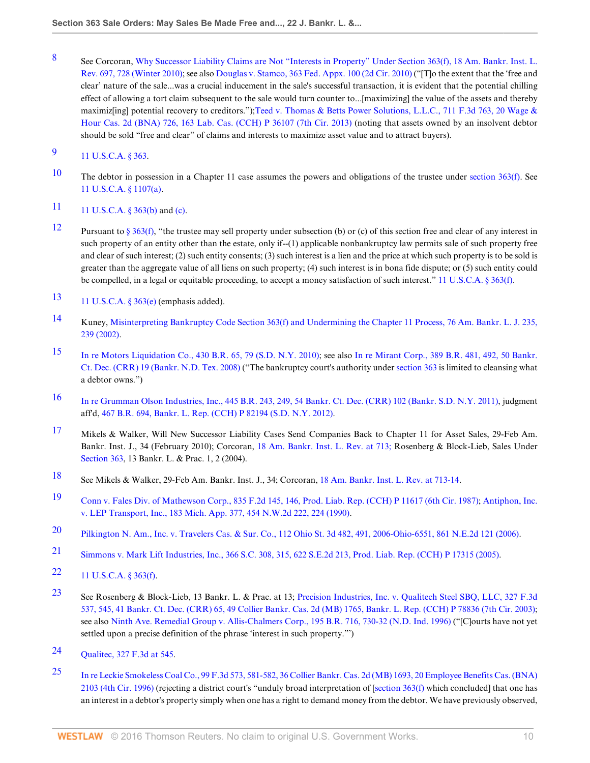<span id="page-9-0"></span>[8](#page-0-7) See Corcoran, [Why Successor Liability Claims are Not "Interests in Property" Under Section 363\(f\), 18 Am. Bankr. Inst. L.](http://www.westlaw.com/Link/Document/FullText?findType=Y&serNum=0361984706&pubNum=102040&originatingDoc=Id995dd93f9da11e28578f7ccc38dcbee&refType=LR&fi=co_pp_sp_102040_728&originationContext=document&vr=3.0&rs=cblt1.0&transitionType=DocumentItem&contextData=(sc.Search)#co_pp_sp_102040_728) [Rev. 697, 728 \(Winter 2010\)](http://www.westlaw.com/Link/Document/FullText?findType=Y&serNum=0361984706&pubNum=102040&originatingDoc=Id995dd93f9da11e28578f7ccc38dcbee&refType=LR&fi=co_pp_sp_102040_728&originationContext=document&vr=3.0&rs=cblt1.0&transitionType=DocumentItem&contextData=(sc.Search)#co_pp_sp_102040_728); see also [Douglas v. Stamco, 363 Fed. Appx. 100 \(2d Cir. 2010\)](http://www.westlaw.com/Link/Document/FullText?findType=Y&serNum=2021253034&pubNum=6538&originatingDoc=Id995dd93f9da11e28578f7ccc38dcbee&refType=RP&originationContext=document&vr=3.0&rs=cblt1.0&transitionType=DocumentItem&contextData=(sc.Search)) ("[T]o the extent that the 'free and clear' nature of the sale...was a crucial inducement in the sale's successful transaction, it is evident that the potential chilling effect of allowing a tort claim subsequent to the sale would turn counter to...[maximizing] the value of the assets and thereby maximiz[ing] potential recovery to creditors.");[Teed v. Thomas & Betts Power Solutions, L.L.C., 711 F.3d 763, 20 Wage &](http://www.westlaw.com/Link/Document/FullText?findType=Y&serNum=2030214775&pubNum=506&originatingDoc=Id995dd93f9da11e28578f7ccc38dcbee&refType=RP&originationContext=document&vr=3.0&rs=cblt1.0&transitionType=DocumentItem&contextData=(sc.Search)) [Hour Cas. 2d \(BNA\) 726, 163 Lab. Cas. \(CCH\) P 36107 \(7th Cir. 2013\)](http://www.westlaw.com/Link/Document/FullText?findType=Y&serNum=2030214775&pubNum=506&originatingDoc=Id995dd93f9da11e28578f7ccc38dcbee&refType=RP&originationContext=document&vr=3.0&rs=cblt1.0&transitionType=DocumentItem&contextData=(sc.Search)) (noting that assets owned by an insolvent debtor should be sold "free and clear" of claims and interests to maximize asset value and to attract buyers).

<span id="page-9-1"></span>[9](#page-0-8) [11 U.S.C.A. § 363](http://www.westlaw.com/Link/Document/FullText?findType=L&pubNum=1000546&cite=11USCAS363&originatingDoc=Id995dd93f9da11e28578f7ccc38dcbee&refType=LQ&originationContext=document&vr=3.0&rs=cblt1.0&transitionType=DocumentItem&contextData=(sc.Search)).

- <span id="page-9-2"></span>[10](#page-0-9) The debtor in possession in a Chapter 11 case assumes the powers and obligations of the trustee under section  $363(f)$ . See [11 U.S.C.A. § 1107\(a\)](http://www.westlaw.com/Link/Document/FullText?findType=L&pubNum=1000546&cite=11USCAS1107&originatingDoc=Id995dd93f9da11e28578f7ccc38dcbee&refType=RB&originationContext=document&vr=3.0&rs=cblt1.0&transitionType=DocumentItem&contextData=(sc.Search)#co_pp_8b3b0000958a4).
- <span id="page-9-3"></span>[11](#page-1-0) [11 U.S.C.A. § 363\(b\)](http://www.westlaw.com/Link/Document/FullText?findType=L&pubNum=1000546&cite=11USCAS363&originatingDoc=Id995dd93f9da11e28578f7ccc38dcbee&refType=RB&originationContext=document&vr=3.0&rs=cblt1.0&transitionType=DocumentItem&contextData=(sc.Search)#co_pp_a83b000018c76) and [\(c\)](http://www.westlaw.com/Link/Document/FullText?findType=L&pubNum=1000546&cite=11USCAS363&originatingDoc=Id995dd93f9da11e28578f7ccc38dcbee&refType=RB&originationContext=document&vr=3.0&rs=cblt1.0&transitionType=DocumentItem&contextData=(sc.Search)#co_pp_4b24000003ba5).
- <span id="page-9-4"></span>[12](#page-1-1) Pursuant to [§ 363\(f\),](http://www.westlaw.com/Link/Document/FullText?findType=L&pubNum=1000546&cite=11USCAS363&originatingDoc=Id995dd93f9da11e28578f7ccc38dcbee&refType=RB&originationContext=document&vr=3.0&rs=cblt1.0&transitionType=DocumentItem&contextData=(sc.Search)#co_pp_ae0d0000c5150) "the trustee may sell property under subsection (b) or (c) of this section free and clear of any interest in such property of an entity other than the estate, only if--(1) applicable nonbankruptcy law permits sale of such property free and clear of such interest; (2) such entity consents; (3) such interest is a lien and the price at which such property is to be sold is greater than the aggregate value of all liens on such property; (4) such interest is in bona fide dispute; or (5) such entity could be compelled, in a legal or equitable proceeding, to accept a money satisfaction of such interest." [11 U.S.C.A. § 363\(f\)](http://www.westlaw.com/Link/Document/FullText?findType=L&pubNum=1000546&cite=11USCAS363&originatingDoc=Id995dd93f9da11e28578f7ccc38dcbee&refType=RB&originationContext=document&vr=3.0&rs=cblt1.0&transitionType=DocumentItem&contextData=(sc.Search)#co_pp_ae0d0000c5150).
- <span id="page-9-5"></span>[13](#page-1-2) 11 U.S.C.A. §  $363(e)$  (emphasis added).
- <span id="page-9-6"></span>[14](#page-1-3) Kuney, [Misinterpreting Bankruptcy Code Section 363\(f\) and Undermining the Chapter 11 Process, 76 Am. Bankr. L. J. 235,](http://www.westlaw.com/Link/Document/FullText?findType=Y&serNum=0290482212&pubNum=1432&originatingDoc=Id995dd93f9da11e28578f7ccc38dcbee&refType=LR&fi=co_pp_sp_1432_239&originationContext=document&vr=3.0&rs=cblt1.0&transitionType=DocumentItem&contextData=(sc.Search)#co_pp_sp_1432_239) [239 \(2002\).](http://www.westlaw.com/Link/Document/FullText?findType=Y&serNum=0290482212&pubNum=1432&originatingDoc=Id995dd93f9da11e28578f7ccc38dcbee&refType=LR&fi=co_pp_sp_1432_239&originationContext=document&vr=3.0&rs=cblt1.0&transitionType=DocumentItem&contextData=(sc.Search)#co_pp_sp_1432_239)
- <span id="page-9-7"></span>[15](#page-1-4) [In re Motors Liquidation Co., 430 B.R. 65, 79 \(S.D. N.Y. 2010\)](http://www.westlaw.com/Link/Document/FullText?findType=Y&serNum=2021886385&pubNum=164&originatingDoc=Id995dd93f9da11e28578f7ccc38dcbee&refType=RP&fi=co_pp_sp_164_79&originationContext=document&vr=3.0&rs=cblt1.0&transitionType=DocumentItem&contextData=(sc.Search)#co_pp_sp_164_79); see also [In re Mirant Corp., 389 B.R. 481, 492, 50 Bankr.](http://www.westlaw.com/Link/Document/FullText?findType=Y&serNum=2016125024&pubNum=951&originatingDoc=Id995dd93f9da11e28578f7ccc38dcbee&refType=RP&originationContext=document&vr=3.0&rs=cblt1.0&transitionType=DocumentItem&contextData=(sc.Search)) [Ct. Dec. \(CRR\) 19 \(Bankr. N.D. Tex. 2008\)](http://www.westlaw.com/Link/Document/FullText?findType=Y&serNum=2016125024&pubNum=951&originatingDoc=Id995dd93f9da11e28578f7ccc38dcbee&refType=RP&originationContext=document&vr=3.0&rs=cblt1.0&transitionType=DocumentItem&contextData=(sc.Search)) ("The bankruptcy court's authority under [section 363](http://www.westlaw.com/Link/Document/FullText?findType=L&pubNum=1000546&cite=11USCAS363&originatingDoc=Id995dd93f9da11e28578f7ccc38dcbee&refType=LQ&originationContext=document&vr=3.0&rs=cblt1.0&transitionType=DocumentItem&contextData=(sc.Search)) is limited to cleansing what a debtor owns.")
- <span id="page-9-8"></span>[16](#page-1-5) [In re Grumman Olson Industries, Inc., 445 B.R. 243, 249, 54 Bankr. Ct. Dec. \(CRR\) 102 \(Bankr. S.D. N.Y. 2011\)](http://www.westlaw.com/Link/Document/FullText?findType=Y&serNum=2024728969&pubNum=951&originatingDoc=Id995dd93f9da11e28578f7ccc38dcbee&refType=RP&originationContext=document&vr=3.0&rs=cblt1.0&transitionType=DocumentItem&contextData=(sc.Search)), judgment aff'd, [467 B.R. 694, Bankr. L. Rep. \(CCH\) P 82194 \(S.D. N.Y. 2012\).](http://www.westlaw.com/Link/Document/FullText?findType=Y&serNum=2027400184&pubNum=164&originatingDoc=Id995dd93f9da11e28578f7ccc38dcbee&refType=RP&originationContext=document&vr=3.0&rs=cblt1.0&transitionType=DocumentItem&contextData=(sc.Search))
- <span id="page-9-9"></span>[17](#page-1-6) Mikels & Walker, Will New Successor Liability Cases Send Companies Back to Chapter 11 for Asset Sales, 29-Feb Am. Bankr. Inst. J., 34 (February 2010); Corcoran, [18 Am. Bankr. Inst. L. Rev. at 713;](http://www.westlaw.com/Link/Document/FullText?findType=Y&serNum=0361984706&pubNum=102040&originatingDoc=Id995dd93f9da11e28578f7ccc38dcbee&refType=LR&fi=co_pp_sp_102040_713&originationContext=document&vr=3.0&rs=cblt1.0&transitionType=DocumentItem&contextData=(sc.Search)#co_pp_sp_102040_713) Rosenberg & Block-Lieb, Sales Under [Section 363,](http://www.westlaw.com/Link/Document/FullText?findType=L&pubNum=1000546&cite=11USCAS363&originatingDoc=Id995dd93f9da11e28578f7ccc38dcbee&refType=LQ&originationContext=document&vr=3.0&rs=cblt1.0&transitionType=DocumentItem&contextData=(sc.Search)) 13 Bankr. L. & Prac. 1, 2 (2004).
- <span id="page-9-10"></span>[18](#page-1-7) See Mikels & Walker, 29-Feb Am. Bankr. Inst. J., 34; Corcoran, [18 Am. Bankr. Inst. L. Rev. at 713-14.](http://www.westlaw.com/Link/Document/FullText?findType=Y&serNum=0361984706&pubNum=102040&originatingDoc=Id995dd93f9da11e28578f7ccc38dcbee&refType=LR&fi=co_pp_sp_102040_713&originationContext=document&vr=3.0&rs=cblt1.0&transitionType=DocumentItem&contextData=(sc.Search)#co_pp_sp_102040_713)
- <span id="page-9-11"></span>[19](#page-1-8) [Conn v. Fales Div. of Mathewson Corp., 835 F.2d 145, 146, Prod. Liab. Rep. \(CCH\) P 11617 \(6th Cir. 1987\);](http://www.westlaw.com/Link/Document/FullText?findType=Y&serNum=1987156729&pubNum=350&originatingDoc=Id995dd93f9da11e28578f7ccc38dcbee&refType=RP&fi=co_pp_sp_350_146&originationContext=document&vr=3.0&rs=cblt1.0&transitionType=DocumentItem&contextData=(sc.Search)#co_pp_sp_350_146) [Antiphon, Inc.](http://www.westlaw.com/Link/Document/FullText?findType=Y&serNum=1990065758&pubNum=595&originatingDoc=Id995dd93f9da11e28578f7ccc38dcbee&refType=RP&fi=co_pp_sp_595_224&originationContext=document&vr=3.0&rs=cblt1.0&transitionType=DocumentItem&contextData=(sc.Search)#co_pp_sp_595_224) [v. LEP Transport, Inc., 183 Mich. App. 377, 454 N.W.2d 222, 224 \(1990\).](http://www.westlaw.com/Link/Document/FullText?findType=Y&serNum=1990065758&pubNum=595&originatingDoc=Id995dd93f9da11e28578f7ccc38dcbee&refType=RP&fi=co_pp_sp_595_224&originationContext=document&vr=3.0&rs=cblt1.0&transitionType=DocumentItem&contextData=(sc.Search)#co_pp_sp_595_224)
- <span id="page-9-12"></span>[20](#page-1-9) [Pilkington N. Am., Inc. v. Travelers Cas. & Sur. Co., 112 Ohio St. 3d 482, 491, 2006-Ohio-6551, 861 N.E.2d 121 \(2006\).](http://www.westlaw.com/Link/Document/FullText?findType=Y&serNum=2010955723&pubNum=578&originatingDoc=Id995dd93f9da11e28578f7ccc38dcbee&refType=RP&originationContext=document&vr=3.0&rs=cblt1.0&transitionType=DocumentItem&contextData=(sc.Search))
- <span id="page-9-13"></span>[21](#page-1-10) [Simmons v. Mark Lift Industries, Inc., 366 S.C. 308, 315, 622 S.E.2d 213, Prod. Liab. Rep. \(CCH\) P 17315 \(2005\)](http://www.westlaw.com/Link/Document/FullText?findType=Y&serNum=2007565409&pubNum=711&originatingDoc=Id995dd93f9da11e28578f7ccc38dcbee&refType=RP&originationContext=document&vr=3.0&rs=cblt1.0&transitionType=DocumentItem&contextData=(sc.Search)).
- <span id="page-9-14"></span>[22](#page-1-11) [11 U.S.C.A. § 363\(f\)](http://www.westlaw.com/Link/Document/FullText?findType=L&pubNum=1000546&cite=11USCAS363&originatingDoc=Id995dd93f9da11e28578f7ccc38dcbee&refType=RB&originationContext=document&vr=3.0&rs=cblt1.0&transitionType=DocumentItem&contextData=(sc.Search)#co_pp_ae0d0000c5150).
- <span id="page-9-15"></span>[23](#page-1-12) See Rosenberg & Block-Lieb, 13 Bankr. L. & Prac. at 13; [Precision Industries, Inc. v. Qualitech Steel SBQ, LLC, 327 F.3d](http://www.westlaw.com/Link/Document/FullText?findType=Y&serNum=2003306688&pubNum=951&originatingDoc=Id995dd93f9da11e28578f7ccc38dcbee&refType=RP&originationContext=document&vr=3.0&rs=cblt1.0&transitionType=DocumentItem&contextData=(sc.Search)) [537, 545, 41 Bankr. Ct. Dec. \(CRR\) 65, 49 Collier Bankr. Cas. 2d \(MB\) 1765, Bankr. L. Rep. \(CCH\) P 78836 \(7th Cir. 2003\);](http://www.westlaw.com/Link/Document/FullText?findType=Y&serNum=2003306688&pubNum=951&originatingDoc=Id995dd93f9da11e28578f7ccc38dcbee&refType=RP&originationContext=document&vr=3.0&rs=cblt1.0&transitionType=DocumentItem&contextData=(sc.Search)) see also [Ninth Ave. Remedial Group v. Allis-Chalmers Corp., 195 B.R. 716, 730-32 \(N.D. Ind. 1996\)](http://www.westlaw.com/Link/Document/FullText?findType=Y&serNum=1996104129&pubNum=164&originatingDoc=Id995dd93f9da11e28578f7ccc38dcbee&refType=RP&fi=co_pp_sp_164_730&originationContext=document&vr=3.0&rs=cblt1.0&transitionType=DocumentItem&contextData=(sc.Search)#co_pp_sp_164_730) ("[C]ourts have not yet settled upon a precise definition of the phrase 'interest in such property."')
- <span id="page-9-16"></span>[24](#page-1-13) [Qualitec, 327 F.3d at 545](http://www.westlaw.com/Link/Document/FullText?findType=Y&serNum=2003306688&pubNum=506&originatingDoc=Id995dd93f9da11e28578f7ccc38dcbee&refType=RP&fi=co_pp_sp_506_545&originationContext=document&vr=3.0&rs=cblt1.0&transitionType=DocumentItem&contextData=(sc.Search)#co_pp_sp_506_545).
- <span id="page-9-17"></span>[25](#page-1-14) [In re Leckie Smokeless Coal Co., 99 F.3d 573, 581-582, 36 Collier Bankr. Cas. 2d \(MB\) 1693, 20 Employee Benefits Cas. \(BNA\)](http://www.westlaw.com/Link/Document/FullText?findType=Y&serNum=1996241774&pubNum=506&originatingDoc=Id995dd93f9da11e28578f7ccc38dcbee&refType=RP&fi=co_pp_sp_506_581&originationContext=document&vr=3.0&rs=cblt1.0&transitionType=DocumentItem&contextData=(sc.Search)#co_pp_sp_506_581) [2103 \(4th Cir. 1996\)](http://www.westlaw.com/Link/Document/FullText?findType=Y&serNum=1996241774&pubNum=506&originatingDoc=Id995dd93f9da11e28578f7ccc38dcbee&refType=RP&fi=co_pp_sp_506_581&originationContext=document&vr=3.0&rs=cblt1.0&transitionType=DocumentItem&contextData=(sc.Search)#co_pp_sp_506_581) (rejecting a district court's "unduly broad interpretation of [\[section 363\(f\)](http://www.westlaw.com/Link/Document/FullText?findType=L&pubNum=1000546&cite=11USCAS363&originatingDoc=Id995dd93f9da11e28578f7ccc38dcbee&refType=RB&originationContext=document&vr=3.0&rs=cblt1.0&transitionType=DocumentItem&contextData=(sc.Search)#co_pp_ae0d0000c5150) which concluded] that one has an interest in a debtor's property simply when one has a right to demand money from the debtor. We have previously observed,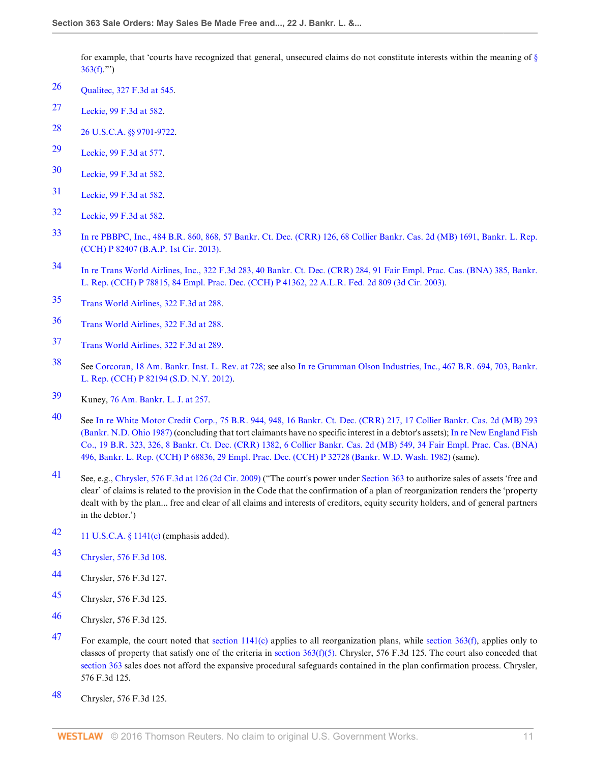for example, that 'courts have recognized that general, unsecured claims do not constitute interests within the meaning of  $\S$  $363(f).$  $363(f).$ ")

- <span id="page-10-0"></span>[26](#page-2-0) [Qualitec, 327 F.3d at 545](http://www.westlaw.com/Link/Document/FullText?findType=Y&serNum=2003306688&pubNum=506&originatingDoc=Id995dd93f9da11e28578f7ccc38dcbee&refType=RP&fi=co_pp_sp_506_545&originationContext=document&vr=3.0&rs=cblt1.0&transitionType=DocumentItem&contextData=(sc.Search)#co_pp_sp_506_545).
- <span id="page-10-1"></span>[27](#page-2-1) [Leckie, 99 F.3d at 582.](http://www.westlaw.com/Link/Document/FullText?findType=Y&serNum=1996241774&pubNum=506&originatingDoc=Id995dd93f9da11e28578f7ccc38dcbee&refType=RP&fi=co_pp_sp_506_582&originationContext=document&vr=3.0&rs=cblt1.0&transitionType=DocumentItem&contextData=(sc.Search)#co_pp_sp_506_582)
- <span id="page-10-2"></span>[28](#page-2-2) [26 U.S.C.A. §§ 9701](http://www.westlaw.com/Link/Document/FullText?findType=L&pubNum=1000546&cite=26USCAS9701&originatingDoc=Id995dd93f9da11e28578f7ccc38dcbee&refType=LQ&originationContext=document&vr=3.0&rs=cblt1.0&transitionType=DocumentItem&contextData=(sc.Search))[-9722](http://www.westlaw.com/Link/Document/FullText?findType=L&pubNum=1000546&cite=26USCAS9722&originatingDoc=Id995dd93f9da11e28578f7ccc38dcbee&refType=LQ&originationContext=document&vr=3.0&rs=cblt1.0&transitionType=DocumentItem&contextData=(sc.Search)).
- <span id="page-10-3"></span>[29](#page-2-3) [Leckie, 99 F.3d at 577.](http://www.westlaw.com/Link/Document/FullText?findType=Y&serNum=1996241774&pubNum=506&originatingDoc=Id995dd93f9da11e28578f7ccc38dcbee&refType=RP&fi=co_pp_sp_506_577&originationContext=document&vr=3.0&rs=cblt1.0&transitionType=DocumentItem&contextData=(sc.Search)#co_pp_sp_506_577)
- <span id="page-10-4"></span>[30](#page-2-4) [Leckie, 99 F.3d at 582.](http://www.westlaw.com/Link/Document/FullText?findType=Y&serNum=1996241774&pubNum=506&originatingDoc=Id995dd93f9da11e28578f7ccc38dcbee&refType=RP&fi=co_pp_sp_506_582&originationContext=document&vr=3.0&rs=cblt1.0&transitionType=DocumentItem&contextData=(sc.Search)#co_pp_sp_506_582)
- <span id="page-10-5"></span>[31](#page-2-5) [Leckie, 99 F.3d at 582.](http://www.westlaw.com/Link/Document/FullText?findType=Y&serNum=1996241774&pubNum=506&originatingDoc=Id995dd93f9da11e28578f7ccc38dcbee&refType=RP&fi=co_pp_sp_506_582&originationContext=document&vr=3.0&rs=cblt1.0&transitionType=DocumentItem&contextData=(sc.Search)#co_pp_sp_506_582)
- <span id="page-10-6"></span>[32](#page-2-6) [Leckie, 99 F.3d at 582.](http://www.westlaw.com/Link/Document/FullText?findType=Y&serNum=1996241774&pubNum=506&originatingDoc=Id995dd93f9da11e28578f7ccc38dcbee&refType=RP&fi=co_pp_sp_506_582&originationContext=document&vr=3.0&rs=cblt1.0&transitionType=DocumentItem&contextData=(sc.Search)#co_pp_sp_506_582)
- <span id="page-10-7"></span>[33](#page-2-7) [In re PBBPC, Inc., 484 B.R. 860, 868, 57 Bankr. Ct. Dec. \(CRR\) 126, 68 Collier Bankr. Cas. 2d \(MB\) 1691, Bankr. L. Rep.](http://www.westlaw.com/Link/Document/FullText?findType=Y&serNum=2029677838&pubNum=951&originatingDoc=Id995dd93f9da11e28578f7ccc38dcbee&refType=RP&originationContext=document&vr=3.0&rs=cblt1.0&transitionType=DocumentItem&contextData=(sc.Search)) [\(CCH\) P 82407 \(B.A.P. 1st Cir. 2013\)](http://www.westlaw.com/Link/Document/FullText?findType=Y&serNum=2029677838&pubNum=951&originatingDoc=Id995dd93f9da11e28578f7ccc38dcbee&refType=RP&originationContext=document&vr=3.0&rs=cblt1.0&transitionType=DocumentItem&contextData=(sc.Search)).
- <span id="page-10-8"></span>[34](#page-2-8) [In re Trans World Airlines, Inc., 322 F.3d 283, 40 Bankr. Ct. Dec. \(CRR\) 284, 91 Fair Empl. Prac. Cas. \(BNA\) 385, Bankr.](http://www.westlaw.com/Link/Document/FullText?findType=Y&serNum=2003212666&pubNum=7186&originatingDoc=Id995dd93f9da11e28578f7ccc38dcbee&refType=RP&originationContext=document&vr=3.0&rs=cblt1.0&transitionType=DocumentItem&contextData=(sc.Search)) [L. Rep. \(CCH\) P 78815, 84 Empl. Prac. Dec. \(CCH\) P 41362, 22 A.L.R. Fed. 2d 809 \(3d Cir. 2003\)](http://www.westlaw.com/Link/Document/FullText?findType=Y&serNum=2003212666&pubNum=7186&originatingDoc=Id995dd93f9da11e28578f7ccc38dcbee&refType=RP&originationContext=document&vr=3.0&rs=cblt1.0&transitionType=DocumentItem&contextData=(sc.Search)).
- <span id="page-10-9"></span>[35](#page-2-9) [Trans World Airlines, 322 F.3d at 288.](http://www.westlaw.com/Link/Document/FullText?findType=Y&serNum=2003212666&pubNum=506&originatingDoc=Id995dd93f9da11e28578f7ccc38dcbee&refType=RP&fi=co_pp_sp_506_288&originationContext=document&vr=3.0&rs=cblt1.0&transitionType=DocumentItem&contextData=(sc.Search)#co_pp_sp_506_288)
- <span id="page-10-10"></span>[36](#page-2-10) [Trans World Airlines, 322 F.3d at 288.](http://www.westlaw.com/Link/Document/FullText?findType=Y&serNum=2003212666&pubNum=506&originatingDoc=Id995dd93f9da11e28578f7ccc38dcbee&refType=RP&fi=co_pp_sp_506_288&originationContext=document&vr=3.0&rs=cblt1.0&transitionType=DocumentItem&contextData=(sc.Search)#co_pp_sp_506_288)
- <span id="page-10-11"></span>[37](#page-2-11) [Trans World Airlines, 322 F.3d at 289.](http://www.westlaw.com/Link/Document/FullText?findType=Y&serNum=2003212666&pubNum=506&originatingDoc=Id995dd93f9da11e28578f7ccc38dcbee&refType=RP&fi=co_pp_sp_506_289&originationContext=document&vr=3.0&rs=cblt1.0&transitionType=DocumentItem&contextData=(sc.Search)#co_pp_sp_506_289)
- <span id="page-10-12"></span>[38](#page-2-12) See [Corcoran, 18 Am. Bankr. Inst. L. Rev. at 728;](http://www.westlaw.com/Link/Document/FullText?findType=Y&serNum=0361984706&pubNum=102040&originatingDoc=Id995dd93f9da11e28578f7ccc38dcbee&refType=LR&fi=co_pp_sp_102040_728&originationContext=document&vr=3.0&rs=cblt1.0&transitionType=DocumentItem&contextData=(sc.Search)#co_pp_sp_102040_728) see also [In re Grumman Olson Industries, Inc., 467 B.R. 694, 703, Bankr.](http://www.westlaw.com/Link/Document/FullText?findType=Y&serNum=2027400184&pubNum=164&originatingDoc=Id995dd93f9da11e28578f7ccc38dcbee&refType=RP&fi=co_pp_sp_164_703&originationContext=document&vr=3.0&rs=cblt1.0&transitionType=DocumentItem&contextData=(sc.Search)#co_pp_sp_164_703) [L. Rep. \(CCH\) P 82194 \(S.D. N.Y. 2012\)](http://www.westlaw.com/Link/Document/FullText?findType=Y&serNum=2027400184&pubNum=164&originatingDoc=Id995dd93f9da11e28578f7ccc38dcbee&refType=RP&fi=co_pp_sp_164_703&originationContext=document&vr=3.0&rs=cblt1.0&transitionType=DocumentItem&contextData=(sc.Search)#co_pp_sp_164_703).
- <span id="page-10-13"></span>[39](#page-2-13) Kuney, [76 Am. Bankr. L. J. at 257.](http://www.westlaw.com/Link/Document/FullText?findType=Y&serNum=0290482212&pubNum=1432&originatingDoc=Id995dd93f9da11e28578f7ccc38dcbee&refType=LR&fi=co_pp_sp_1432_257&originationContext=document&vr=3.0&rs=cblt1.0&transitionType=DocumentItem&contextData=(sc.Search)#co_pp_sp_1432_257)
- <span id="page-10-14"></span>[40](#page-2-14) See [In re White Motor Credit Corp., 75 B.R. 944, 948, 16 Bankr. Ct. Dec. \(CRR\) 217, 17 Collier Bankr. Cas. 2d \(MB\) 293](http://www.westlaw.com/Link/Document/FullText?findType=Y&serNum=1987091707&pubNum=951&originatingDoc=Id995dd93f9da11e28578f7ccc38dcbee&refType=RP&originationContext=document&vr=3.0&rs=cblt1.0&transitionType=DocumentItem&contextData=(sc.Search)) [\(Bankr. N.D. Ohio 1987\)](http://www.westlaw.com/Link/Document/FullText?findType=Y&serNum=1987091707&pubNum=951&originatingDoc=Id995dd93f9da11e28578f7ccc38dcbee&refType=RP&originationContext=document&vr=3.0&rs=cblt1.0&transitionType=DocumentItem&contextData=(sc.Search)) (concluding that tort claimants have no specific interest in a debtor's assets); [In re New England Fish](http://www.westlaw.com/Link/Document/FullText?findType=Y&serNum=1982119122&pubNum=951&originatingDoc=Id995dd93f9da11e28578f7ccc38dcbee&refType=RP&originationContext=document&vr=3.0&rs=cblt1.0&transitionType=DocumentItem&contextData=(sc.Search)) [Co., 19 B.R. 323, 326, 8 Bankr. Ct. Dec. \(CRR\) 1382, 6 Collier Bankr. Cas. 2d \(MB\) 549, 34 Fair Empl. Prac. Cas. \(BNA\)](http://www.westlaw.com/Link/Document/FullText?findType=Y&serNum=1982119122&pubNum=951&originatingDoc=Id995dd93f9da11e28578f7ccc38dcbee&refType=RP&originationContext=document&vr=3.0&rs=cblt1.0&transitionType=DocumentItem&contextData=(sc.Search)) [496, Bankr. L. Rep. \(CCH\) P 68836, 29 Empl. Prac. Dec. \(CCH\) P 32728 \(Bankr. W.D. Wash. 1982\)](http://www.westlaw.com/Link/Document/FullText?findType=Y&serNum=1982119122&pubNum=951&originatingDoc=Id995dd93f9da11e28578f7ccc38dcbee&refType=RP&originationContext=document&vr=3.0&rs=cblt1.0&transitionType=DocumentItem&contextData=(sc.Search)) (same).
- <span id="page-10-15"></span>Al See, e.g., [Chrysler, 576 F.3d at 126 \(2d Cir. 2009\)](http://www.westlaw.com/Link/Document/FullText?findType=Y&serNum=2019536081&pubNum=506&originatingDoc=Id995dd93f9da11e28578f7ccc38dcbee&refType=RP&fi=co_pp_sp_506_126&originationContext=document&vr=3.0&rs=cblt1.0&transitionType=DocumentItem&contextData=(sc.Search)#co_pp_sp_506_126) ("The court's power under [Section 363](http://www.westlaw.com/Link/Document/FullText?findType=L&pubNum=1000546&cite=11USCAS363&originatingDoc=Id995dd93f9da11e28578f7ccc38dcbee&refType=LQ&originationContext=document&vr=3.0&rs=cblt1.0&transitionType=DocumentItem&contextData=(sc.Search)) to authorize sales of assets 'free and clear' of claims is related to the provision in the Code that the confirmation of a plan of reorganization renders the 'property dealt with by the plan... free and clear of all claims and interests of creditors, equity security holders, and of general partners in the debtor.')
- <span id="page-10-16"></span>[42](#page-2-16) [11 U.S.C.A. § 1141\(c\)](http://www.westlaw.com/Link/Document/FullText?findType=L&pubNum=1000546&cite=11USCAS1141&originatingDoc=Id995dd93f9da11e28578f7ccc38dcbee&refType=RB&originationContext=document&vr=3.0&rs=cblt1.0&transitionType=DocumentItem&contextData=(sc.Search)#co_pp_4b24000003ba5) (emphasis added).
- <span id="page-10-17"></span>[43](#page-3-0) [Chrysler, 576 F.3d 108.](http://www.westlaw.com/Link/Document/FullText?findType=Y&serNum=2019536081&pubNum=506&originatingDoc=Id995dd93f9da11e28578f7ccc38dcbee&refType=RP&originationContext=document&vr=3.0&rs=cblt1.0&transitionType=DocumentItem&contextData=(sc.Search))
- <span id="page-10-18"></span>[44](#page-3-1) Chrysler, 576 F.3d 127.
- <span id="page-10-19"></span>[45](#page-3-2) Chrysler, 576 F.3d 125.
- <span id="page-10-20"></span>[46](#page-3-3) Chrysler, 576 F.3d 125.
- <span id="page-10-21"></span>[47](#page-3-4) For example, the court noted that section  $1141(c)$  applies to all reorganization plans, while [section 363\(f\),](http://www.westlaw.com/Link/Document/FullText?findType=L&pubNum=1000546&cite=11USCAS363&originatingDoc=Id995dd93f9da11e28578f7ccc38dcbee&refType=RB&originationContext=document&vr=3.0&rs=cblt1.0&transitionType=DocumentItem&contextData=(sc.Search)#co_pp_ae0d0000c5150) applies only to classes of property that satisfy one of the criteria in section  $363(f)(5)$ . Chrysler, 576 F.3d 125. The court also conceded that [section 363](http://www.westlaw.com/Link/Document/FullText?findType=L&pubNum=1000546&cite=11USCAS363&originatingDoc=Id995dd93f9da11e28578f7ccc38dcbee&refType=LQ&originationContext=document&vr=3.0&rs=cblt1.0&transitionType=DocumentItem&contextData=(sc.Search)) sales does not afford the expansive procedural safeguards contained in the plan confirmation process. Chrysler, 576 F.3d 125.
- <span id="page-10-22"></span>[48](#page-3-5) Chrysler, 576 F.3d 125.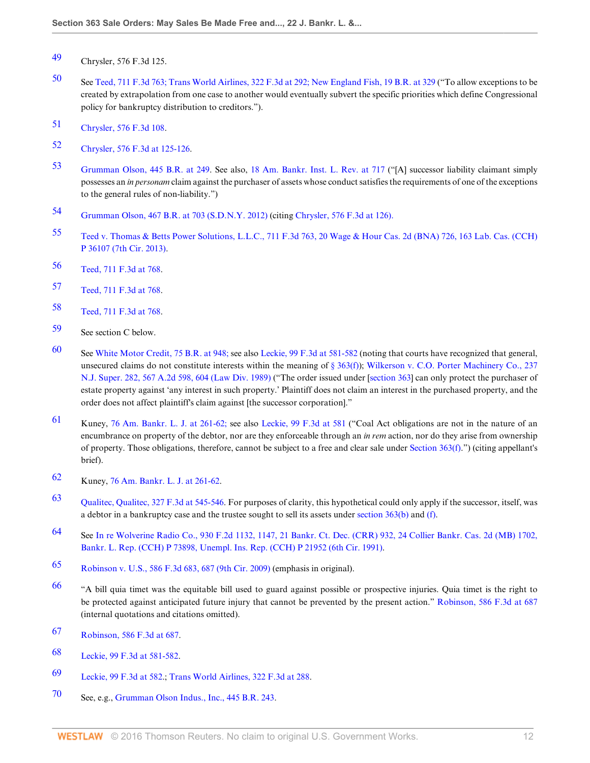- <span id="page-11-0"></span>[49](#page-3-6) Chrysler, 576 F.3d 125.
- <span id="page-11-1"></span>[50](#page-3-7) See [Teed, 711 F.3d 763;](http://www.westlaw.com/Link/Document/FullText?findType=Y&serNum=2030214775&pubNum=506&originatingDoc=Id995dd93f9da11e28578f7ccc38dcbee&refType=RP&originationContext=document&vr=3.0&rs=cblt1.0&transitionType=DocumentItem&contextData=(sc.Search)) [Trans World Airlines, 322 F.3d at 292;](http://www.westlaw.com/Link/Document/FullText?findType=Y&serNum=2003212666&pubNum=506&originatingDoc=Id995dd93f9da11e28578f7ccc38dcbee&refType=RP&fi=co_pp_sp_506_292&originationContext=document&vr=3.0&rs=cblt1.0&transitionType=DocumentItem&contextData=(sc.Search)#co_pp_sp_506_292) [New England Fish, 19 B.R. at 329](http://www.westlaw.com/Link/Document/FullText?findType=Y&serNum=1982119122&pubNum=164&originatingDoc=Id995dd93f9da11e28578f7ccc38dcbee&refType=RP&fi=co_pp_sp_164_329&originationContext=document&vr=3.0&rs=cblt1.0&transitionType=DocumentItem&contextData=(sc.Search)#co_pp_sp_164_329) ("To allow exceptions to be created by extrapolation from one case to another would eventually subvert the specific priorities which define Congressional policy for bankruptcy distribution to creditors.").
- <span id="page-11-2"></span>[51](#page-3-8) [Chrysler, 576 F.3d 108.](http://www.westlaw.com/Link/Document/FullText?findType=Y&serNum=2019536081&pubNum=506&originatingDoc=Id995dd93f9da11e28578f7ccc38dcbee&refType=RP&originationContext=document&vr=3.0&rs=cblt1.0&transitionType=DocumentItem&contextData=(sc.Search))
- <span id="page-11-3"></span>[52](#page-3-9) [Chrysler, 576 F.3d at 125-126](http://www.westlaw.com/Link/Document/FullText?findType=Y&serNum=2019536081&pubNum=506&originatingDoc=Id995dd93f9da11e28578f7ccc38dcbee&refType=RP&fi=co_pp_sp_506_125&originationContext=document&vr=3.0&rs=cblt1.0&transitionType=DocumentItem&contextData=(sc.Search)#co_pp_sp_506_125).
- <span id="page-11-4"></span>[53](#page-3-10) [Grumman Olson, 445 B.R. at 249.](http://www.westlaw.com/Link/Document/FullText?findType=Y&serNum=2024728969&pubNum=164&originatingDoc=Id995dd93f9da11e28578f7ccc38dcbee&refType=RP&fi=co_pp_sp_164_249&originationContext=document&vr=3.0&rs=cblt1.0&transitionType=DocumentItem&contextData=(sc.Search)#co_pp_sp_164_249) See also, [18 Am. Bankr. Inst. L. Rev. at 717](http://www.westlaw.com/Link/Document/FullText?findType=Y&serNum=0361984706&pubNum=102040&originatingDoc=Id995dd93f9da11e28578f7ccc38dcbee&refType=LR&fi=co_pp_sp_102040_717&originationContext=document&vr=3.0&rs=cblt1.0&transitionType=DocumentItem&contextData=(sc.Search)#co_pp_sp_102040_717) ("[A] successor liability claimant simply possesses an *in personam* claim against the purchaser of assets whose conduct satisfies the requirements of one of the exceptions to the general rules of non-liability.")
- <span id="page-11-5"></span>[54](#page-3-11) [Grumman Olson, 467 B.R. at 703 \(S.D.N.Y. 2012\)](http://www.westlaw.com/Link/Document/FullText?findType=Y&serNum=2027400184&pubNum=164&originatingDoc=Id995dd93f9da11e28578f7ccc38dcbee&refType=RP&fi=co_pp_sp_164_703&originationContext=document&vr=3.0&rs=cblt1.0&transitionType=DocumentItem&contextData=(sc.Search)#co_pp_sp_164_703) (citing [Chrysler, 576 F.3d at 126\).](http://www.westlaw.com/Link/Document/FullText?findType=Y&serNum=2019536081&pubNum=506&originatingDoc=Id995dd93f9da11e28578f7ccc38dcbee&refType=RP&fi=co_pp_sp_506_126&originationContext=document&vr=3.0&rs=cblt1.0&transitionType=DocumentItem&contextData=(sc.Search)#co_pp_sp_506_126)
- <span id="page-11-6"></span>[55](#page-3-12) [Teed v. Thomas & Betts Power Solutions, L.L.C., 711 F.3d 763, 20 Wage & Hour Cas. 2d \(BNA\) 726, 163 Lab. Cas. \(CCH\)](http://www.westlaw.com/Link/Document/FullText?findType=Y&serNum=2030214775&pubNum=506&originatingDoc=Id995dd93f9da11e28578f7ccc38dcbee&refType=RP&originationContext=document&vr=3.0&rs=cblt1.0&transitionType=DocumentItem&contextData=(sc.Search)) [P 36107 \(7th Cir. 2013\)](http://www.westlaw.com/Link/Document/FullText?findType=Y&serNum=2030214775&pubNum=506&originatingDoc=Id995dd93f9da11e28578f7ccc38dcbee&refType=RP&originationContext=document&vr=3.0&rs=cblt1.0&transitionType=DocumentItem&contextData=(sc.Search)).
- <span id="page-11-7"></span>[56](#page-3-13) [Teed, 711 F.3d at 768.](http://www.westlaw.com/Link/Document/FullText?findType=Y&serNum=2030214775&pubNum=506&originatingDoc=Id995dd93f9da11e28578f7ccc38dcbee&refType=RP&fi=co_pp_sp_506_768&originationContext=document&vr=3.0&rs=cblt1.0&transitionType=DocumentItem&contextData=(sc.Search)#co_pp_sp_506_768)
- <span id="page-11-8"></span>[57](#page-4-0) [Teed, 711 F.3d at 768.](http://www.westlaw.com/Link/Document/FullText?findType=Y&serNum=2030214775&pubNum=506&originatingDoc=Id995dd93f9da11e28578f7ccc38dcbee&refType=RP&fi=co_pp_sp_506_768&originationContext=document&vr=3.0&rs=cblt1.0&transitionType=DocumentItem&contextData=(sc.Search)#co_pp_sp_506_768)
- <span id="page-11-9"></span>[58](#page-4-1) [Teed, 711 F.3d at 768.](http://www.westlaw.com/Link/Document/FullText?findType=Y&serNum=2030214775&pubNum=506&originatingDoc=Id995dd93f9da11e28578f7ccc38dcbee&refType=RP&fi=co_pp_sp_506_768&originationContext=document&vr=3.0&rs=cblt1.0&transitionType=DocumentItem&contextData=(sc.Search)#co_pp_sp_506_768)
- <span id="page-11-10"></span>[59](#page-4-2) See section C below.
- <span id="page-11-11"></span>[60](#page-4-3) See [White Motor Credit, 75 B.R. at 948;](http://www.westlaw.com/Link/Document/FullText?findType=Y&serNum=1987091707&pubNum=164&originatingDoc=Id995dd93f9da11e28578f7ccc38dcbee&refType=RP&fi=co_pp_sp_164_948&originationContext=document&vr=3.0&rs=cblt1.0&transitionType=DocumentItem&contextData=(sc.Search)#co_pp_sp_164_948) see also [Leckie, 99 F.3d at 581-582](http://www.westlaw.com/Link/Document/FullText?findType=Y&serNum=1996241774&pubNum=506&originatingDoc=Id995dd93f9da11e28578f7ccc38dcbee&refType=RP&fi=co_pp_sp_506_581&originationContext=document&vr=3.0&rs=cblt1.0&transitionType=DocumentItem&contextData=(sc.Search)#co_pp_sp_506_581) (noting that courts have recognized that general, unsecured claims do not constitute interests within the meaning of [§ 363\(f\)\)](http://www.westlaw.com/Link/Document/FullText?findType=L&pubNum=1000546&cite=11USCAS363&originatingDoc=Id995dd93f9da11e28578f7ccc38dcbee&refType=RB&originationContext=document&vr=3.0&rs=cblt1.0&transitionType=DocumentItem&contextData=(sc.Search)#co_pp_ae0d0000c5150); [Wilkerson v. C.O. Porter Machinery Co., 237](http://www.westlaw.com/Link/Document/FullText?findType=Y&serNum=1989179991&pubNum=162&originatingDoc=Id995dd93f9da11e28578f7ccc38dcbee&refType=RP&fi=co_pp_sp_162_604&originationContext=document&vr=3.0&rs=cblt1.0&transitionType=DocumentItem&contextData=(sc.Search)#co_pp_sp_162_604) [N.J. Super. 282, 567 A.2d 598, 604 \(Law Div. 1989\)](http://www.westlaw.com/Link/Document/FullText?findType=Y&serNum=1989179991&pubNum=162&originatingDoc=Id995dd93f9da11e28578f7ccc38dcbee&refType=RP&fi=co_pp_sp_162_604&originationContext=document&vr=3.0&rs=cblt1.0&transitionType=DocumentItem&contextData=(sc.Search)#co_pp_sp_162_604) ("The order issued under [\[section 363\]](http://www.westlaw.com/Link/Document/FullText?findType=L&pubNum=1000546&cite=11USCAS363&originatingDoc=Id995dd93f9da11e28578f7ccc38dcbee&refType=LQ&originationContext=document&vr=3.0&rs=cblt1.0&transitionType=DocumentItem&contextData=(sc.Search)) can only protect the purchaser of estate property against 'any interest in such property.' Plaintiff does not claim an interest in the purchased property, and the order does not affect plaintiff's claim against [the successor corporation]."
- <span id="page-11-12"></span>[61](#page-4-4) Kuney, [76 Am. Bankr. L. J. at 261-62;](http://www.westlaw.com/Link/Document/FullText?findType=Y&serNum=0290482212&pubNum=1432&originatingDoc=Id995dd93f9da11e28578f7ccc38dcbee&refType=LR&fi=co_pp_sp_1432_261&originationContext=document&vr=3.0&rs=cblt1.0&transitionType=DocumentItem&contextData=(sc.Search)#co_pp_sp_1432_261) see also [Leckie, 99 F.3d at 581](http://www.westlaw.com/Link/Document/FullText?findType=Y&serNum=1996241774&pubNum=506&originatingDoc=Id995dd93f9da11e28578f7ccc38dcbee&refType=RP&fi=co_pp_sp_506_581&originationContext=document&vr=3.0&rs=cblt1.0&transitionType=DocumentItem&contextData=(sc.Search)#co_pp_sp_506_581) ("Coal Act obligations are not in the nature of an encumbrance on property of the debtor, nor are they enforceable through an *in rem* action, nor do they arise from ownership of property. Those obligations, therefore, cannot be subject to a free and clear sale under Section  $363(f)$ .") (citing appellant's brief).
- <span id="page-11-13"></span>[62](#page-4-5) Kuney, [76 Am. Bankr. L. J. at 261-62.](http://www.westlaw.com/Link/Document/FullText?findType=Y&serNum=0290482212&pubNum=1432&originatingDoc=Id995dd93f9da11e28578f7ccc38dcbee&refType=LR&fi=co_pp_sp_1432_261&originationContext=document&vr=3.0&rs=cblt1.0&transitionType=DocumentItem&contextData=(sc.Search)#co_pp_sp_1432_261)
- <span id="page-11-14"></span>[63](#page-4-6) [Qualitec, Qualitec, 327 F.3d at 545-546](http://www.westlaw.com/Link/Document/FullText?findType=Y&serNum=2003306688&pubNum=506&originatingDoc=Id995dd93f9da11e28578f7ccc38dcbee&refType=RP&fi=co_pp_sp_506_545&originationContext=document&vr=3.0&rs=cblt1.0&transitionType=DocumentItem&contextData=(sc.Search)#co_pp_sp_506_545). For purposes of clarity, this hypothetical could only apply if the successor, itself, was a debtor in a bankruptcy case and the trustee sought to sell its assets under [section 363\(b\)](http://www.westlaw.com/Link/Document/FullText?findType=L&pubNum=1000546&cite=11USCAS363&originatingDoc=Id995dd93f9da11e28578f7ccc38dcbee&refType=RB&originationContext=document&vr=3.0&rs=cblt1.0&transitionType=DocumentItem&contextData=(sc.Search)#co_pp_a83b000018c76) and [\(f\)](http://www.westlaw.com/Link/Document/FullText?findType=L&pubNum=1000546&cite=11USCAS363&originatingDoc=Id995dd93f9da11e28578f7ccc38dcbee&refType=RB&originationContext=document&vr=3.0&rs=cblt1.0&transitionType=DocumentItem&contextData=(sc.Search)#co_pp_ae0d0000c5150).
- <span id="page-11-15"></span>[64](#page-4-7) See [In re Wolverine Radio Co., 930 F.2d 1132, 1147, 21 Bankr. Ct. Dec. \(CRR\) 932, 24 Collier Bankr. Cas. 2d \(MB\) 1702,](http://www.westlaw.com/Link/Document/FullText?findType=Y&serNum=1991068922&pubNum=951&originatingDoc=Id995dd93f9da11e28578f7ccc38dcbee&refType=RP&originationContext=document&vr=3.0&rs=cblt1.0&transitionType=DocumentItem&contextData=(sc.Search)) [Bankr. L. Rep. \(CCH\) P 73898, Unempl. Ins. Rep. \(CCH\) P 21952 \(6th Cir. 1991\)](http://www.westlaw.com/Link/Document/FullText?findType=Y&serNum=1991068922&pubNum=951&originatingDoc=Id995dd93f9da11e28578f7ccc38dcbee&refType=RP&originationContext=document&vr=3.0&rs=cblt1.0&transitionType=DocumentItem&contextData=(sc.Search)).
- <span id="page-11-16"></span>[65](#page-4-8) [Robinson v. U.S., 586 F.3d 683, 687 \(9th Cir. 2009\)](http://www.westlaw.com/Link/Document/FullText?findType=Y&serNum=2020271711&pubNum=506&originatingDoc=Id995dd93f9da11e28578f7ccc38dcbee&refType=RP&fi=co_pp_sp_506_687&originationContext=document&vr=3.0&rs=cblt1.0&transitionType=DocumentItem&contextData=(sc.Search)#co_pp_sp_506_687) (emphasis in original).
- <span id="page-11-17"></span>[66](#page-4-9) "A bill quia timet was the equitable bill used to guard against possible or prospective injuries. Quia timet is the right to be protected against anticipated future injury that cannot be prevented by the present action." [Robinson, 586 F.3d at 687](http://www.westlaw.com/Link/Document/FullText?findType=Y&serNum=2020271711&pubNum=506&originatingDoc=Id995dd93f9da11e28578f7ccc38dcbee&refType=RP&fi=co_pp_sp_506_687&originationContext=document&vr=3.0&rs=cblt1.0&transitionType=DocumentItem&contextData=(sc.Search)#co_pp_sp_506_687) (internal quotations and citations omitted).
- <span id="page-11-18"></span>[67](#page-4-10) [Robinson, 586 F.3d at 687.](http://www.westlaw.com/Link/Document/FullText?findType=Y&serNum=2020271711&pubNum=506&originatingDoc=Id995dd93f9da11e28578f7ccc38dcbee&refType=RP&fi=co_pp_sp_506_687&originationContext=document&vr=3.0&rs=cblt1.0&transitionType=DocumentItem&contextData=(sc.Search)#co_pp_sp_506_687)
- <span id="page-11-19"></span>[68](#page-5-0) [Leckie, 99 F.3d at 581-582](http://www.westlaw.com/Link/Document/FullText?findType=Y&serNum=1996241774&pubNum=506&originatingDoc=Id995dd93f9da11e28578f7ccc38dcbee&refType=RP&fi=co_pp_sp_506_581&originationContext=document&vr=3.0&rs=cblt1.0&transitionType=DocumentItem&contextData=(sc.Search)#co_pp_sp_506_581).
- <span id="page-11-20"></span>[69](#page-5-1) [Leckie, 99 F.3d at 582.](http://www.westlaw.com/Link/Document/FullText?findType=Y&serNum=1996241774&pubNum=506&originatingDoc=Id995dd93f9da11e28578f7ccc38dcbee&refType=RP&fi=co_pp_sp_506_582&originationContext=document&vr=3.0&rs=cblt1.0&transitionType=DocumentItem&contextData=(sc.Search)#co_pp_sp_506_582); [Trans World Airlines, 322 F.3d at 288](http://www.westlaw.com/Link/Document/FullText?findType=Y&serNum=2003212666&pubNum=506&originatingDoc=Id995dd93f9da11e28578f7ccc38dcbee&refType=RP&fi=co_pp_sp_506_288&originationContext=document&vr=3.0&rs=cblt1.0&transitionType=DocumentItem&contextData=(sc.Search)#co_pp_sp_506_288).
- <span id="page-11-21"></span>[70](#page-5-2) See, e.g., [Grumman Olson Indus., Inc., 445 B.R. 243.](http://www.westlaw.com/Link/Document/FullText?findType=Y&serNum=2024728969&pubNum=164&originatingDoc=Id995dd93f9da11e28578f7ccc38dcbee&refType=RP&originationContext=document&vr=3.0&rs=cblt1.0&transitionType=DocumentItem&contextData=(sc.Search))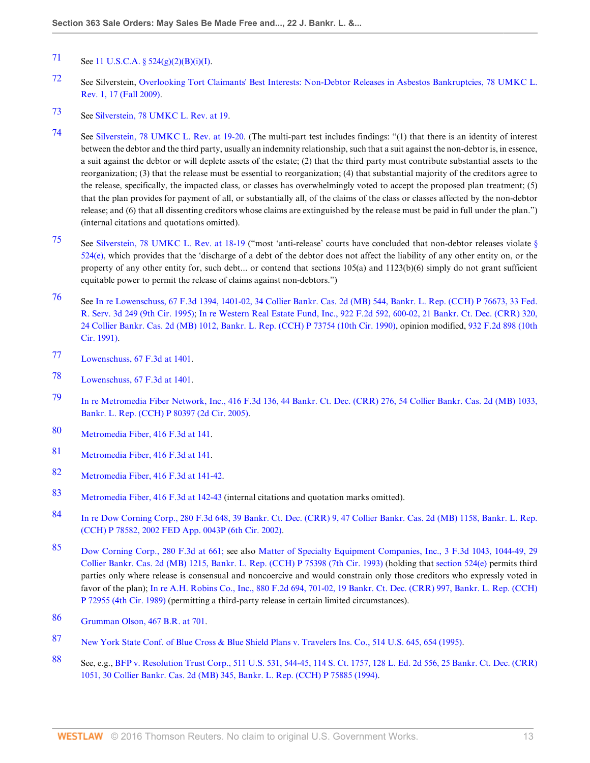# <span id="page-12-0"></span>[71](#page-5-3) See 11 U.S.C.A.  $\S$  524(g)(2)(B)(i)(I).

- <span id="page-12-1"></span>[72](#page-5-4) See Silverstein, [Overlooking Tort Claimants' Best Interests: Non-Debtor Releases in Asbestos Bankruptcies, 78 UMKC L.](http://www.westlaw.com/Link/Document/FullText?findType=Y&serNum=0348436180&pubNum=1265&originatingDoc=Id995dd93f9da11e28578f7ccc38dcbee&refType=LR&fi=co_pp_sp_1265_17&originationContext=document&vr=3.0&rs=cblt1.0&transitionType=DocumentItem&contextData=(sc.Search)#co_pp_sp_1265_17) [Rev. 1, 17 \(Fall 2009\)](http://www.westlaw.com/Link/Document/FullText?findType=Y&serNum=0348436180&pubNum=1265&originatingDoc=Id995dd93f9da11e28578f7ccc38dcbee&refType=LR&fi=co_pp_sp_1265_17&originationContext=document&vr=3.0&rs=cblt1.0&transitionType=DocumentItem&contextData=(sc.Search)#co_pp_sp_1265_17).
- <span id="page-12-2"></span>[73](#page-5-5) See [Silverstein, 78 UMKC L. Rev. at 19.](http://www.westlaw.com/Link/Document/FullText?findType=Y&serNum=0348436180&pubNum=1265&originatingDoc=Id995dd93f9da11e28578f7ccc38dcbee&refType=LR&fi=co_pp_sp_1265_19&originationContext=document&vr=3.0&rs=cblt1.0&transitionType=DocumentItem&contextData=(sc.Search)#co_pp_sp_1265_19)
- <span id="page-12-3"></span>[74](#page-5-6) See [Silverstein, 78 UMKC L. Rev. at 19-20.](http://www.westlaw.com/Link/Document/FullText?findType=Y&serNum=0348436180&pubNum=1265&originatingDoc=Id995dd93f9da11e28578f7ccc38dcbee&refType=LR&fi=co_pp_sp_1265_19&originationContext=document&vr=3.0&rs=cblt1.0&transitionType=DocumentItem&contextData=(sc.Search)#co_pp_sp_1265_19) (The multi-part test includes findings: "(1) that there is an identity of interest between the debtor and the third party, usually an indemnity relationship, such that a suit against the non-debtor is, in essence, a suit against the debtor or will deplete assets of the estate; (2) that the third party must contribute substantial assets to the reorganization; (3) that the release must be essential to reorganization; (4) that substantial majority of the creditors agree to the release, specifically, the impacted class, or classes has overwhelmingly voted to accept the proposed plan treatment; (5) that the plan provides for payment of all, or substantially all, of the claims of the class or classes affected by the non-debtor release; and (6) that all dissenting creditors whose claims are extinguished by the release must be paid in full under the plan.") (internal citations and quotations omitted).
- <span id="page-12-4"></span>[75](#page-5-7) See [Silverstein, 78 UMKC L. Rev. at 18-19](http://www.westlaw.com/Link/Document/FullText?findType=Y&serNum=0348436180&pubNum=1265&originatingDoc=Id995dd93f9da11e28578f7ccc38dcbee&refType=LR&fi=co_pp_sp_1265_18&originationContext=document&vr=3.0&rs=cblt1.0&transitionType=DocumentItem&contextData=(sc.Search)#co_pp_sp_1265_18) ("most 'anti-release' courts have concluded that non-debtor releases violate  $\S$  $524(e)$ , which provides that the 'discharge of a debt of the debtor does not affect the liability of any other entity on, or the property of any other entity for, such debt... or contend that sections 105(a) and 1123(b)(6) simply do not grant sufficient equitable power to permit the release of claims against non-debtors.")
- <span id="page-12-5"></span>[76](#page-5-8) See [In re Lowenschuss, 67 F.3d 1394, 1401-02, 34 Collier Bankr. Cas. 2d \(MB\) 544, Bankr. L. Rep. \(CCH\) P 76673, 33 Fed.](http://www.westlaw.com/Link/Document/FullText?findType=Y&serNum=1995202168&pubNum=506&originatingDoc=Id995dd93f9da11e28578f7ccc38dcbee&refType=RP&fi=co_pp_sp_506_1401&originationContext=document&vr=3.0&rs=cblt1.0&transitionType=DocumentItem&contextData=(sc.Search)#co_pp_sp_506_1401) [R. Serv. 3d 249 \(9th Cir. 1995\);](http://www.westlaw.com/Link/Document/FullText?findType=Y&serNum=1995202168&pubNum=506&originatingDoc=Id995dd93f9da11e28578f7ccc38dcbee&refType=RP&fi=co_pp_sp_506_1401&originationContext=document&vr=3.0&rs=cblt1.0&transitionType=DocumentItem&contextData=(sc.Search)#co_pp_sp_506_1401) [In re Western Real Estate Fund, Inc., 922 F.2d 592, 600-02, 21 Bankr. Ct. Dec. \(CRR\) 320,](http://www.westlaw.com/Link/Document/FullText?findType=Y&serNum=1990182334&pubNum=951&originatingDoc=Id995dd93f9da11e28578f7ccc38dcbee&refType=RP&originationContext=document&vr=3.0&rs=cblt1.0&transitionType=DocumentItem&contextData=(sc.Search)) [24 Collier Bankr. Cas. 2d \(MB\) 1012, Bankr. L. Rep. \(CCH\) P 73754 \(10th Cir. 1990\),](http://www.westlaw.com/Link/Document/FullText?findType=Y&serNum=1990182334&pubNum=951&originatingDoc=Id995dd93f9da11e28578f7ccc38dcbee&refType=RP&originationContext=document&vr=3.0&rs=cblt1.0&transitionType=DocumentItem&contextData=(sc.Search)) opinion modified, [932 F.2d 898 \(10th](http://www.westlaw.com/Link/Document/FullText?findType=Y&serNum=1991089565&pubNum=350&originatingDoc=Id995dd93f9da11e28578f7ccc38dcbee&refType=RP&originationContext=document&vr=3.0&rs=cblt1.0&transitionType=DocumentItem&contextData=(sc.Search)) [Cir. 1991\)](http://www.westlaw.com/Link/Document/FullText?findType=Y&serNum=1991089565&pubNum=350&originatingDoc=Id995dd93f9da11e28578f7ccc38dcbee&refType=RP&originationContext=document&vr=3.0&rs=cblt1.0&transitionType=DocumentItem&contextData=(sc.Search)).
- <span id="page-12-6"></span>[77](#page-5-9) [Lowenschuss, 67 F.3d at 1401](http://www.westlaw.com/Link/Document/FullText?findType=Y&serNum=1995202168&pubNum=506&originatingDoc=Id995dd93f9da11e28578f7ccc38dcbee&refType=RP&fi=co_pp_sp_506_1401&originationContext=document&vr=3.0&rs=cblt1.0&transitionType=DocumentItem&contextData=(sc.Search)#co_pp_sp_506_1401).
- <span id="page-12-7"></span>[78](#page-5-10) [Lowenschuss, 67 F.3d at 1401](http://www.westlaw.com/Link/Document/FullText?findType=Y&serNum=1995202168&pubNum=506&originatingDoc=Id995dd93f9da11e28578f7ccc38dcbee&refType=RP&fi=co_pp_sp_506_1401&originationContext=document&vr=3.0&rs=cblt1.0&transitionType=DocumentItem&contextData=(sc.Search)#co_pp_sp_506_1401).
- <span id="page-12-8"></span>[79](#page-5-11) [In re Metromedia Fiber Network, Inc., 416 F.3d 136, 44 Bankr. Ct. Dec. \(CRR\) 276, 54 Collier Bankr. Cas. 2d \(MB\) 1033,](http://www.westlaw.com/Link/Document/FullText?findType=Y&serNum=2006977761&pubNum=951&originatingDoc=Id995dd93f9da11e28578f7ccc38dcbee&refType=RP&originationContext=document&vr=3.0&rs=cblt1.0&transitionType=DocumentItem&contextData=(sc.Search)) [Bankr. L. Rep. \(CCH\) P 80397 \(2d Cir. 2005\).](http://www.westlaw.com/Link/Document/FullText?findType=Y&serNum=2006977761&pubNum=951&originatingDoc=Id995dd93f9da11e28578f7ccc38dcbee&refType=RP&originationContext=document&vr=3.0&rs=cblt1.0&transitionType=DocumentItem&contextData=(sc.Search))
- <span id="page-12-9"></span>[80](#page-5-12) [Metromedia Fiber, 416 F.3d at 141](http://www.westlaw.com/Link/Document/FullText?findType=Y&serNum=2006977761&pubNum=506&originatingDoc=Id995dd93f9da11e28578f7ccc38dcbee&refType=RP&fi=co_pp_sp_506_141&originationContext=document&vr=3.0&rs=cblt1.0&transitionType=DocumentItem&contextData=(sc.Search)#co_pp_sp_506_141).
- <span id="page-12-10"></span>[81](#page-5-13) [Metromedia Fiber, 416 F.3d at 141](http://www.westlaw.com/Link/Document/FullText?findType=Y&serNum=2006977761&pubNum=506&originatingDoc=Id995dd93f9da11e28578f7ccc38dcbee&refType=RP&fi=co_pp_sp_506_141&originationContext=document&vr=3.0&rs=cblt1.0&transitionType=DocumentItem&contextData=(sc.Search)#co_pp_sp_506_141).
- <span id="page-12-11"></span>[82](#page-5-14) [Metromedia Fiber, 416 F.3d at 141-42](http://www.westlaw.com/Link/Document/FullText?findType=Y&serNum=2006977761&pubNum=506&originatingDoc=Id995dd93f9da11e28578f7ccc38dcbee&refType=RP&fi=co_pp_sp_506_141&originationContext=document&vr=3.0&rs=cblt1.0&transitionType=DocumentItem&contextData=(sc.Search)#co_pp_sp_506_141).
- <span id="page-12-12"></span>[83](#page-5-15) [Metromedia Fiber, 416 F.3d at 142-43](http://www.westlaw.com/Link/Document/FullText?findType=Y&serNum=2006977761&pubNum=506&originatingDoc=Id995dd93f9da11e28578f7ccc38dcbee&refType=RP&fi=co_pp_sp_506_142&originationContext=document&vr=3.0&rs=cblt1.0&transitionType=DocumentItem&contextData=(sc.Search)#co_pp_sp_506_142) (internal citations and quotation marks omitted).
- <span id="page-12-13"></span>[84](#page-5-16) [In re Dow Corning Corp., 280 F.3d 648, 39 Bankr. Ct. Dec. \(CRR\) 9, 47 Collier Bankr. Cas. 2d \(MB\) 1158, Bankr. L. Rep.](http://www.westlaw.com/Link/Document/FullText?findType=Y&serNum=2002096126&pubNum=951&originatingDoc=Id995dd93f9da11e28578f7ccc38dcbee&refType=RP&originationContext=document&vr=3.0&rs=cblt1.0&transitionType=DocumentItem&contextData=(sc.Search)) [\(CCH\) P 78582, 2002 FED App. 0043P \(6th Cir. 2002\)](http://www.westlaw.com/Link/Document/FullText?findType=Y&serNum=2002096126&pubNum=951&originatingDoc=Id995dd93f9da11e28578f7ccc38dcbee&refType=RP&originationContext=document&vr=3.0&rs=cblt1.0&transitionType=DocumentItem&contextData=(sc.Search)).
- <span id="page-12-14"></span>[85](#page-6-0) [Dow Corning Corp., 280 F.3d at 661;](http://www.westlaw.com/Link/Document/FullText?findType=Y&serNum=2002096126&pubNum=506&originatingDoc=Id995dd93f9da11e28578f7ccc38dcbee&refType=RP&fi=co_pp_sp_506_661&originationContext=document&vr=3.0&rs=cblt1.0&transitionType=DocumentItem&contextData=(sc.Search)#co_pp_sp_506_661) see also [Matter of Specialty Equipment Companies, Inc., 3 F.3d 1043, 1044-49, 29](http://www.westlaw.com/Link/Document/FullText?findType=Y&serNum=1993166288&pubNum=506&originatingDoc=Id995dd93f9da11e28578f7ccc38dcbee&refType=RP&fi=co_pp_sp_506_1044&originationContext=document&vr=3.0&rs=cblt1.0&transitionType=DocumentItem&contextData=(sc.Search)#co_pp_sp_506_1044) [Collier Bankr. Cas. 2d \(MB\) 1215, Bankr. L. Rep. \(CCH\) P 75398 \(7th Cir. 1993\)](http://www.westlaw.com/Link/Document/FullText?findType=Y&serNum=1993166288&pubNum=506&originatingDoc=Id995dd93f9da11e28578f7ccc38dcbee&refType=RP&fi=co_pp_sp_506_1044&originationContext=document&vr=3.0&rs=cblt1.0&transitionType=DocumentItem&contextData=(sc.Search)#co_pp_sp_506_1044) (holding that [section 524\(e\)](http://www.westlaw.com/Link/Document/FullText?findType=L&pubNum=1000546&cite=11USCAS524&originatingDoc=Id995dd93f9da11e28578f7ccc38dcbee&refType=RB&originationContext=document&vr=3.0&rs=cblt1.0&transitionType=DocumentItem&contextData=(sc.Search)#co_pp_7fdd00001ca15) permits third parties only where release is consensual and noncoercive and would constrain only those creditors who expressly voted in favor of the plan); [In re A.H. Robins Co., Inc., 880 F.2d 694, 701-02, 19 Bankr. Ct. Dec. \(CRR\) 997, Bankr. L. Rep. \(CCH\)](http://www.westlaw.com/Link/Document/FullText?findType=Y&serNum=1989094803&pubNum=951&originatingDoc=Id995dd93f9da11e28578f7ccc38dcbee&refType=RP&originationContext=document&vr=3.0&rs=cblt1.0&transitionType=DocumentItem&contextData=(sc.Search)) [P 72955 \(4th Cir. 1989\)](http://www.westlaw.com/Link/Document/FullText?findType=Y&serNum=1989094803&pubNum=951&originatingDoc=Id995dd93f9da11e28578f7ccc38dcbee&refType=RP&originationContext=document&vr=3.0&rs=cblt1.0&transitionType=DocumentItem&contextData=(sc.Search)) (permitting a third-party release in certain limited circumstances).
- <span id="page-12-15"></span>[86](#page-6-1) [Grumman Olson, 467 B.R. at 701.](http://www.westlaw.com/Link/Document/FullText?findType=Y&serNum=2027400184&pubNum=164&originatingDoc=Id995dd93f9da11e28578f7ccc38dcbee&refType=RP&fi=co_pp_sp_164_701&originationContext=document&vr=3.0&rs=cblt1.0&transitionType=DocumentItem&contextData=(sc.Search)#co_pp_sp_164_701)
- <span id="page-12-16"></span>[87](#page-6-2) [New York State Conf. of Blue Cross & Blue Shield Plans v. Travelers Ins. Co., 514 U.S. 645, 654 \(1995\).](http://www.westlaw.com/Link/Document/FullText?findType=Y&serNum=1995096310&pubNum=780&originatingDoc=Id995dd93f9da11e28578f7ccc38dcbee&refType=RP&fi=co_pp_sp_780_654&originationContext=document&vr=3.0&rs=cblt1.0&transitionType=DocumentItem&contextData=(sc.Search)#co_pp_sp_780_654)
- <span id="page-12-17"></span>[88](#page-6-3) See, e.g., [BFP v. Resolution Trust Corp., 511 U.S. 531, 544-45, 114 S. Ct. 1757, 128 L. Ed. 2d 556, 25 Bankr. Ct. Dec. \(CRR\)](http://www.westlaw.com/Link/Document/FullText?findType=Y&serNum=1994113336&pubNum=951&originatingDoc=Id995dd93f9da11e28578f7ccc38dcbee&refType=RP&originationContext=document&vr=3.0&rs=cblt1.0&transitionType=DocumentItem&contextData=(sc.Search)) [1051, 30 Collier Bankr. Cas. 2d \(MB\) 345, Bankr. L. Rep. \(CCH\) P 75885 \(1994\).](http://www.westlaw.com/Link/Document/FullText?findType=Y&serNum=1994113336&pubNum=951&originatingDoc=Id995dd93f9da11e28578f7ccc38dcbee&refType=RP&originationContext=document&vr=3.0&rs=cblt1.0&transitionType=DocumentItem&contextData=(sc.Search))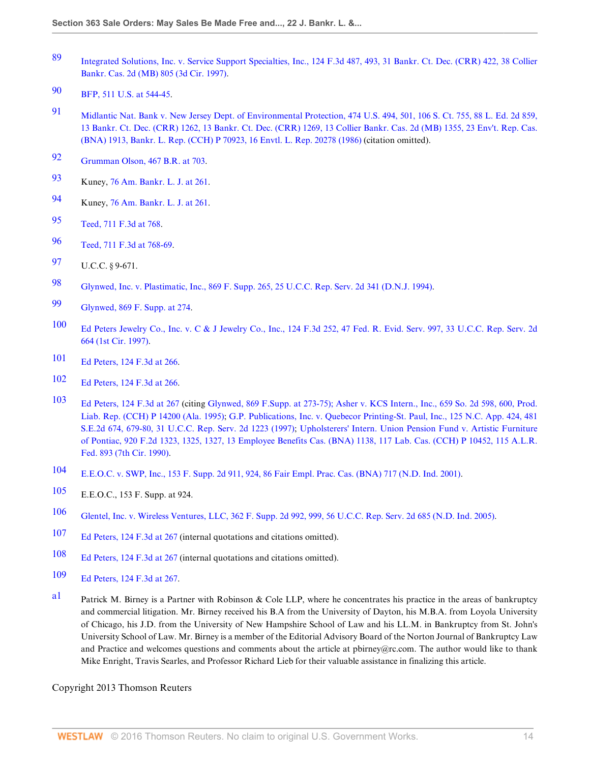- <span id="page-13-1"></span>[89](#page-6-4) [Integrated Solutions, Inc. v. Service Support Specialties, Inc., 124 F.3d 487, 493, 31 Bankr. Ct. Dec. \(CRR\) 422, 38 Collier](http://www.westlaw.com/Link/Document/FullText?findType=Y&serNum=1997177858&pubNum=951&originatingDoc=Id995dd93f9da11e28578f7ccc38dcbee&refType=RP&originationContext=document&vr=3.0&rs=cblt1.0&transitionType=DocumentItem&contextData=(sc.Search)) [Bankr. Cas. 2d \(MB\) 805 \(3d Cir. 1997\)](http://www.westlaw.com/Link/Document/FullText?findType=Y&serNum=1997177858&pubNum=951&originatingDoc=Id995dd93f9da11e28578f7ccc38dcbee&refType=RP&originationContext=document&vr=3.0&rs=cblt1.0&transitionType=DocumentItem&contextData=(sc.Search)).
- <span id="page-13-2"></span>[90](#page-6-5) [BFP, 511 U.S. at 544-45.](http://www.westlaw.com/Link/Document/FullText?findType=Y&serNum=1994113336&pubNum=780&originatingDoc=Id995dd93f9da11e28578f7ccc38dcbee&refType=RP&fi=co_pp_sp_780_544&originationContext=document&vr=3.0&rs=cblt1.0&transitionType=DocumentItem&contextData=(sc.Search)#co_pp_sp_780_544)
- <span id="page-13-3"></span>[91](#page-6-6) [Midlantic Nat. Bank v. New Jersey Dept. of Environmental Protection, 474 U.S. 494, 501, 106 S. Ct. 755, 88 L. Ed. 2d 859,](http://www.westlaw.com/Link/Document/FullText?findType=Y&serNum=1986104706&pubNum=951&originatingDoc=Id995dd93f9da11e28578f7ccc38dcbee&refType=RP&originationContext=document&vr=3.0&rs=cblt1.0&transitionType=DocumentItem&contextData=(sc.Search)) [13 Bankr. Ct. Dec. \(CRR\) 1262, 13 Bankr. Ct. Dec. \(CRR\) 1269, 13 Collier Bankr. Cas. 2d \(MB\) 1355, 23 Env't. Rep. Cas.](http://www.westlaw.com/Link/Document/FullText?findType=Y&serNum=1986104706&pubNum=951&originatingDoc=Id995dd93f9da11e28578f7ccc38dcbee&refType=RP&originationContext=document&vr=3.0&rs=cblt1.0&transitionType=DocumentItem&contextData=(sc.Search)) [\(BNA\) 1913, Bankr. L. Rep. \(CCH\) P 70923, 16 Envtl. L. Rep. 20278 \(1986\)](http://www.westlaw.com/Link/Document/FullText?findType=Y&serNum=1986104706&pubNum=951&originatingDoc=Id995dd93f9da11e28578f7ccc38dcbee&refType=RP&originationContext=document&vr=3.0&rs=cblt1.0&transitionType=DocumentItem&contextData=(sc.Search)) (citation omitted).
- <span id="page-13-4"></span>[92](#page-6-7) [Grumman Olson, 467 B.R. at 703.](http://www.westlaw.com/Link/Document/FullText?findType=Y&serNum=2027400184&pubNum=164&originatingDoc=Id995dd93f9da11e28578f7ccc38dcbee&refType=RP&fi=co_pp_sp_164_703&originationContext=document&vr=3.0&rs=cblt1.0&transitionType=DocumentItem&contextData=(sc.Search)#co_pp_sp_164_703)
- <span id="page-13-5"></span>[93](#page-6-8) Kuney, [76 Am. Bankr. L. J. at 261.](http://www.westlaw.com/Link/Document/FullText?findType=Y&serNum=0290482212&pubNum=1432&originatingDoc=Id995dd93f9da11e28578f7ccc38dcbee&refType=LR&fi=co_pp_sp_1432_261&originationContext=document&vr=3.0&rs=cblt1.0&transitionType=DocumentItem&contextData=(sc.Search)#co_pp_sp_1432_261)
- <span id="page-13-6"></span>[94](#page-7-0) Kuney, [76 Am. Bankr. L. J. at 261.](http://www.westlaw.com/Link/Document/FullText?findType=Y&serNum=0290482212&pubNum=1432&originatingDoc=Id995dd93f9da11e28578f7ccc38dcbee&refType=LR&fi=co_pp_sp_1432_261&originationContext=document&vr=3.0&rs=cblt1.0&transitionType=DocumentItem&contextData=(sc.Search)#co_pp_sp_1432_261)
- <span id="page-13-7"></span>[95](#page-7-1) [Teed, 711 F.3d at 768.](http://www.westlaw.com/Link/Document/FullText?findType=Y&serNum=2030214775&pubNum=506&originatingDoc=Id995dd93f9da11e28578f7ccc38dcbee&refType=RP&fi=co_pp_sp_506_768&originationContext=document&vr=3.0&rs=cblt1.0&transitionType=DocumentItem&contextData=(sc.Search)#co_pp_sp_506_768)
- <span id="page-13-8"></span>[96](#page-7-2) [Teed, 711 F.3d at 768-69.](http://www.westlaw.com/Link/Document/FullText?findType=Y&serNum=2030214775&pubNum=506&originatingDoc=Id995dd93f9da11e28578f7ccc38dcbee&refType=RP&fi=co_pp_sp_506_768&originationContext=document&vr=3.0&rs=cblt1.0&transitionType=DocumentItem&contextData=(sc.Search)#co_pp_sp_506_768)
- <span id="page-13-9"></span>[97](#page-7-3) U.C.C. § 9-671.
- <span id="page-13-10"></span>[98](#page-7-4) [Glynwed, Inc. v. Plastimatic, Inc., 869 F. Supp. 265, 25 U.C.C. Rep. Serv. 2d 341 \(D.N.J. 1994\).](http://www.westlaw.com/Link/Document/FullText?findType=Y&serNum=1994242597&pubNum=345&originatingDoc=Id995dd93f9da11e28578f7ccc38dcbee&refType=RP&originationContext=document&vr=3.0&rs=cblt1.0&transitionType=DocumentItem&contextData=(sc.Search))
- <span id="page-13-11"></span>[99](#page-7-5) [Glynwed, 869 F. Supp. at 274.](http://www.westlaw.com/Link/Document/FullText?findType=Y&serNum=1994242597&pubNum=345&originatingDoc=Id995dd93f9da11e28578f7ccc38dcbee&refType=RP&fi=co_pp_sp_345_274&originationContext=document&vr=3.0&rs=cblt1.0&transitionType=DocumentItem&contextData=(sc.Search)#co_pp_sp_345_274)
- <span id="page-13-12"></span>[100](#page-7-6) [Ed Peters Jewelry Co., Inc. v. C & J Jewelry Co., Inc., 124 F.3d 252, 47 Fed. R. Evid. Serv. 997, 33 U.C.C. Rep. Serv. 2d](http://www.westlaw.com/Link/Document/FullText?findType=Y&serNum=1997178784&pubNum=506&originatingDoc=Id995dd93f9da11e28578f7ccc38dcbee&refType=RP&originationContext=document&vr=3.0&rs=cblt1.0&transitionType=DocumentItem&contextData=(sc.Search)) [664 \(1st Cir. 1997\)](http://www.westlaw.com/Link/Document/FullText?findType=Y&serNum=1997178784&pubNum=506&originatingDoc=Id995dd93f9da11e28578f7ccc38dcbee&refType=RP&originationContext=document&vr=3.0&rs=cblt1.0&transitionType=DocumentItem&contextData=(sc.Search)).
- <span id="page-13-13"></span>[101](#page-7-7) [Ed Peters, 124 F.3d at 266](http://www.westlaw.com/Link/Document/FullText?findType=Y&serNum=1997178784&pubNum=506&originatingDoc=Id995dd93f9da11e28578f7ccc38dcbee&refType=RP&fi=co_pp_sp_506_266&originationContext=document&vr=3.0&rs=cblt1.0&transitionType=DocumentItem&contextData=(sc.Search)#co_pp_sp_506_266).
- <span id="page-13-14"></span>[102](#page-7-8) [Ed Peters, 124 F.3d at 266](http://www.westlaw.com/Link/Document/FullText?findType=Y&serNum=1997178784&pubNum=506&originatingDoc=Id995dd93f9da11e28578f7ccc38dcbee&refType=RP&fi=co_pp_sp_506_266&originationContext=document&vr=3.0&rs=cblt1.0&transitionType=DocumentItem&contextData=(sc.Search)#co_pp_sp_506_266).
- <span id="page-13-15"></span>[103](#page-7-9) [Ed Peters, 124 F.3d at 267](http://www.westlaw.com/Link/Document/FullText?findType=Y&serNum=1997178784&pubNum=506&originatingDoc=Id995dd93f9da11e28578f7ccc38dcbee&refType=RP&fi=co_pp_sp_506_267&originationContext=document&vr=3.0&rs=cblt1.0&transitionType=DocumentItem&contextData=(sc.Search)#co_pp_sp_506_267) (citing [Glynwed, 869 F.Supp. at 273-75\);](http://www.westlaw.com/Link/Document/FullText?findType=Y&serNum=1994242597&pubNum=345&originatingDoc=Id995dd93f9da11e28578f7ccc38dcbee&refType=RP&fi=co_pp_sp_345_273&originationContext=document&vr=3.0&rs=cblt1.0&transitionType=DocumentItem&contextData=(sc.Search)#co_pp_sp_345_273) [Asher v. KCS Intern., Inc., 659 So. 2d 598, 600, Prod.](http://www.westlaw.com/Link/Document/FullText?findType=Y&serNum=1995083100&pubNum=735&originatingDoc=Id995dd93f9da11e28578f7ccc38dcbee&refType=RP&fi=co_pp_sp_735_600&originationContext=document&vr=3.0&rs=cblt1.0&transitionType=DocumentItem&contextData=(sc.Search)#co_pp_sp_735_600) [Liab. Rep. \(CCH\) P 14200 \(Ala. 1995\);](http://www.westlaw.com/Link/Document/FullText?findType=Y&serNum=1995083100&pubNum=735&originatingDoc=Id995dd93f9da11e28578f7ccc38dcbee&refType=RP&fi=co_pp_sp_735_600&originationContext=document&vr=3.0&rs=cblt1.0&transitionType=DocumentItem&contextData=(sc.Search)#co_pp_sp_735_600) [G.P. Publications, Inc. v. Quebecor Printing-St. Paul, Inc., 125 N.C. App. 424, 481](http://www.westlaw.com/Link/Document/FullText?findType=Y&serNum=1997062186&pubNum=711&originatingDoc=Id995dd93f9da11e28578f7ccc38dcbee&refType=RP&fi=co_pp_sp_711_679&originationContext=document&vr=3.0&rs=cblt1.0&transitionType=DocumentItem&contextData=(sc.Search)#co_pp_sp_711_679) [S.E.2d 674, 679-80, 31 U.C.C. Rep. Serv. 2d 1223 \(1997\);](http://www.westlaw.com/Link/Document/FullText?findType=Y&serNum=1997062186&pubNum=711&originatingDoc=Id995dd93f9da11e28578f7ccc38dcbee&refType=RP&fi=co_pp_sp_711_679&originationContext=document&vr=3.0&rs=cblt1.0&transitionType=DocumentItem&contextData=(sc.Search)#co_pp_sp_711_679) [Upholsterers' Intern. Union Pension Fund v. Artistic Furniture](http://www.westlaw.com/Link/Document/FullText?findType=Y&serNum=1990178553&pubNum=106&originatingDoc=Id995dd93f9da11e28578f7ccc38dcbee&refType=RP&originationContext=document&vr=3.0&rs=cblt1.0&transitionType=DocumentItem&contextData=(sc.Search)) [of Pontiac, 920 F.2d 1323, 1325, 1327, 13 Employee Benefits Cas. \(BNA\) 1138, 117 Lab. Cas. \(CCH\) P 10452, 115 A.L.R.](http://www.westlaw.com/Link/Document/FullText?findType=Y&serNum=1990178553&pubNum=106&originatingDoc=Id995dd93f9da11e28578f7ccc38dcbee&refType=RP&originationContext=document&vr=3.0&rs=cblt1.0&transitionType=DocumentItem&contextData=(sc.Search)) [Fed. 893 \(7th Cir. 1990\)](http://www.westlaw.com/Link/Document/FullText?findType=Y&serNum=1990178553&pubNum=106&originatingDoc=Id995dd93f9da11e28578f7ccc38dcbee&refType=RP&originationContext=document&vr=3.0&rs=cblt1.0&transitionType=DocumentItem&contextData=(sc.Search)).
- <span id="page-13-16"></span>[104](#page-7-10) [E.E.O.C. v. SWP, Inc., 153 F. Supp. 2d 911, 924, 86 Fair Empl. Prac. Cas. \(BNA\) 717 \(N.D. Ind. 2001\)](http://www.westlaw.com/Link/Document/FullText?findType=Y&serNum=2001652813&pubNum=4637&originatingDoc=Id995dd93f9da11e28578f7ccc38dcbee&refType=RP&fi=co_pp_sp_4637_924&originationContext=document&vr=3.0&rs=cblt1.0&transitionType=DocumentItem&contextData=(sc.Search)#co_pp_sp_4637_924).
- <span id="page-13-17"></span>[105](#page-8-7) E.E.O.C., 153 F. Supp. at 924.
- <span id="page-13-18"></span>[106](#page-8-8) [Glentel, Inc. v. Wireless Ventures, LLC, 362 F. Supp. 2d 992, 999, 56 U.C.C. Rep. Serv. 2d 685 \(N.D. Ind. 2005\)](http://www.westlaw.com/Link/Document/FullText?findType=Y&serNum=2006353516&pubNum=4637&originatingDoc=Id995dd93f9da11e28578f7ccc38dcbee&refType=RP&fi=co_pp_sp_4637_999&originationContext=document&vr=3.0&rs=cblt1.0&transitionType=DocumentItem&contextData=(sc.Search)#co_pp_sp_4637_999).
- <span id="page-13-19"></span>[107](#page-8-9) [Ed Peters, 124 F.3d at 267](http://www.westlaw.com/Link/Document/FullText?findType=Y&serNum=1997178784&pubNum=506&originatingDoc=Id995dd93f9da11e28578f7ccc38dcbee&refType=RP&fi=co_pp_sp_506_267&originationContext=document&vr=3.0&rs=cblt1.0&transitionType=DocumentItem&contextData=(sc.Search)#co_pp_sp_506_267) (internal quotations and citations omitted).
- <span id="page-13-20"></span>[108](#page-8-10) [Ed Peters, 124 F.3d at 267](http://www.westlaw.com/Link/Document/FullText?findType=Y&serNum=1997178784&pubNum=506&originatingDoc=Id995dd93f9da11e28578f7ccc38dcbee&refType=RP&fi=co_pp_sp_506_267&originationContext=document&vr=3.0&rs=cblt1.0&transitionType=DocumentItem&contextData=(sc.Search)#co_pp_sp_506_267) (internal quotations and citations omitted).
- <span id="page-13-21"></span>[109](#page-8-11) [Ed Peters, 124 F.3d at 267](http://www.westlaw.com/Link/Document/FullText?findType=Y&serNum=1997178784&pubNum=506&originatingDoc=Id995dd93f9da11e28578f7ccc38dcbee&refType=RP&fi=co_pp_sp_506_267&originationContext=document&vr=3.0&rs=cblt1.0&transitionType=DocumentItem&contextData=(sc.Search)#co_pp_sp_506_267).
- <span id="page-13-0"></span>a<sup>1</sup> Patrick M. Birney is a Partner with Robinson & Cole LLP, where he concentrates his practice in the areas of bankruptcy and commercial litigation. Mr. Birney received his B.A from the University of Dayton, his M.B.A. from Loyola University of Chicago, his J.D. from the University of New Hampshire School of Law and his LL.M. in Bankruptcy from St. John's University School of Law. Mr. Birney is a member of the Editorial Advisory Board of the Norton Journal of Bankruptcy Law and Practice and welcomes questions and comments about the article at pbirney@rc.com. The author would like to thank Mike Enright, Travis Searles, and Professor Richard Lieb for their valuable assistance in finalizing this article.

Copyright 2013 Thomson Reuters